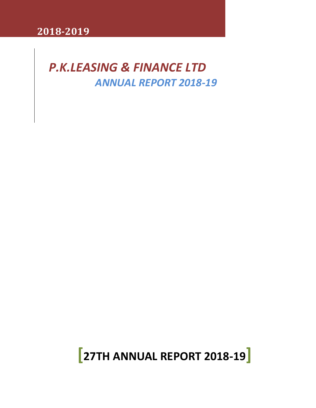# *P.K.LEASING & FINANCE LTD ANNUAL REPORT 2018-19*

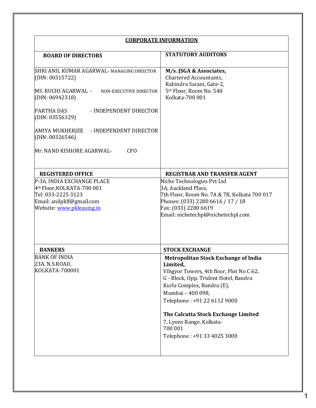# **CORPORATE INFORMATION**

| <b>BOARD OF DIRECTORS</b>                                                                                                                                                                                                                                                                               | <b>STATUTORY AUDITORS</b>                                                                                                                                                                                                                                                                                                                   |
|---------------------------------------------------------------------------------------------------------------------------------------------------------------------------------------------------------------------------------------------------------------------------------------------------------|---------------------------------------------------------------------------------------------------------------------------------------------------------------------------------------------------------------------------------------------------------------------------------------------------------------------------------------------|
| SHRI ANIL KUMAR AGARWAL- MANAGING DIRECTOR<br>(DIN: 00315722)<br>MS. RUCHI AGARWAL -<br>NON-EXECUTIVE DIRECTOR<br>(DIN: 06942318)<br>PARTHA DAS<br>- INDEPENDENT DIRECTOR<br>(DIN: 03556329)<br>AMIYA MUKHERJEE<br>- INDEPENDENT DIRECTOR<br>(DIN: 00326546)<br>Mr. NAND KISHORE AGARWAL-<br><b>CFO</b> | M/s. JSGA & Associates,<br>Chartered Accountants,<br>Rabindra Sarani, Gate-2,<br>5th Floor, Room No. 548<br>Kolkata-700 001                                                                                                                                                                                                                 |
| <b>REGISTERED OFFICE</b>                                                                                                                                                                                                                                                                                | <b>REGISTRAR AND TRANSFER AGENT</b>                                                                                                                                                                                                                                                                                                         |
| P-36, INDIA EXCHANGE PLACE<br>4th Floor, KOLKATA-700 001<br>Tel: 033-2225 3123<br>Email: anilpklf@gmail.com<br>Website: www.pkleasing.in                                                                                                                                                                | Niche Technologies Pvt Ltd<br>3A, Auckland Place,<br>7th Floor, Room No. 7A & 7B, Kolkata 700 017<br>Phones: (033) 2280 6616 / 17 / 18<br>Fax: (033) 2280 6619<br>Email: nichetechpl@nichetechpl.com                                                                                                                                        |
| <b>BANKERS</b>                                                                                                                                                                                                                                                                                          | <b>STOCK EXCHANGE</b>                                                                                                                                                                                                                                                                                                                       |
| <b>BANK OF INDIA</b><br>23A, N.S.ROAD,<br>KOLKATA-700001                                                                                                                                                                                                                                                | <b>Metropolitan Stock Exchange of India</b><br>Limited,<br>Vibgyor Towers, 4th floor, Plot No C 62,<br>G - Block, Opp. Trident Hotel, Bandra<br>Kurla Complex, Bandra (E),<br>Mumbai - 400 098,<br>Telephone: +91 22 6112 9000<br>The Calcutta Stock Exchange Limited<br>7, Lyons Range, Kolkata-<br>700 001<br>Telephone: +91 33 4025 3000 |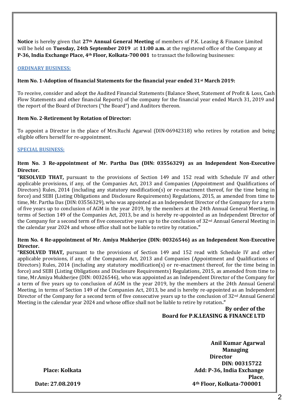**Notice** is hereby given that **27th Annual General Meeting** of members of P.K. Leasing & Finance Limited will be held on **Tuesday, 24th September 2019** at **11:00 a.m.** at the registered office of the Company at **P-36, India Exchange Place, 4th Floor, Kolkata-700 001** to transact the following businesses:

#### **ORDINARY BUSINESS:**

#### **Item No. 1-Adoption of financial Statements for the financial year ended 31st March 2019:**

To receive, consider and adopt the Audited Financial Statements (Balance Sheet, Statement of Profit & Loss, Cash Flow Statements and other financial Reports) of the company for the financial year ended March 31, 2019 and the report of the Board of Directors ("the Board") and Auditors thereon.

#### **Item No. 2-Retirement by Rotation of Director:**

To appoint a Director in the place of Mrs.Ruchi Agarwal (DIN-06942318) who retires by rotation and being eligible offers herself for re-appointment.

#### **SPECIAL BUSINESS:**

# **Item No. 3 Re-appointment of Mr. Partha Das (DIN: 03556329) as an Independent Non-Executive Director.**

**"RESOLVED THAT,** pursuant to the provisions of Section 149 and 152 read with Schedule IV and other applicable provisions, if any, of the Companies Act, 2013 and Companies (Appointment and Qualifications of Directors) Rules, 2014 (including any statutory modification(s) or re-enactment thereof, for the time being in force) and SEBI (Listing Obligations and Disclosure Requirements) Regulations, 2015, as amended from time to time, Mr. Partha Das (DIN: 03556329), who was appointed as an Independent Director of the Company for a term of five years up to conclusion of AGM in the year 2019, by the members at the 24th Annual General Meeting, in terms of Section 149 of the Companies Act, 2013, be and is hereby re-appointed as an Independent Director of the Company for a second term of five consecutive years up to the conclusion of  $32<sup>nd</sup>$  Annual General Meeting in the calendar year 2024 and whose office shall not be liable to retire by rotation**."**

## **Item No. 4 Re-appointment of Mr. Amiya Mukherjee (DIN: 00326546) as an Independent Non-Executive Director.**

**"RESOLVED THAT,** pursuant to the provisions of Section 149 and 152 read with Schedule IV and other applicable provisions, if any, of the Companies Act, 2013 and Companies (Appointment and Qualifications of Directors) Rules, 2014 (including any statutory modification(s) or re-enactment thereof, for the time being in force) and SEBI (Listing Obligations and Disclosure Requirements) Regulations, 2015, as amended from time to time, Mr.Amiya Mukherjee (DIN: 00326546), who was appointed as an Independent Director of the Company for a term of five years up to conclusion of AGM in the year 2019, by the members at the 24th Annual General Meeting, in terms of Section 149 of the Companies Act, 2013, be and is hereby re-appointed as an Independent Director of the Company for a second term of five consecutive years up to the conclusion of 32<sup>nd</sup> Annual General Meeting in the calendar year 2024 and whose office shall not be liable to retire by rotation**."**

# **By order of the Board for P.K.LEASING & FINANCE LTD**

**Anil Kumar Agarwal Managing Director DIN: 00315722 Place:** Kolkata **Add:** P-36, India Exchange **Place**, **Date: 27.08.2019 4th Floor, Kolkata-700001**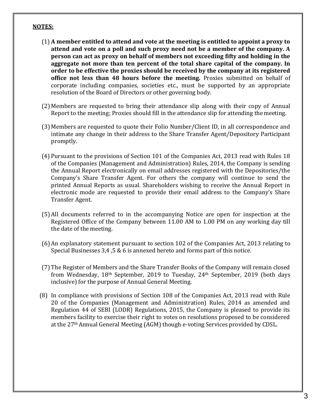# **NOTES:**

- (1) **A member entitled to attend and vote at the meeting is entitled to appoint a proxy to attend and vote on a poll and such proxy need not be a member of the company. A person can act as proxy on behalf of members not exceeding fifty and holding in the aggregate not more than ten percent of the total share capital of the company. In order to be effective the proxies should be received by the company at its registered office not less than 48 hours before the meeting.** Proxies submitted on behalf of corporate including companies, societies etc., must be supported by an appropriate resolution of the Board of Directors or other governing body.
- (2) Members are requested to bring their attendance slip along with their copy of Annual Report to the meeting; Proxies should fill in the attendance slip for attending themeeting.
- (3) Members are requested to quote their Folio Number/Client ID, in all correspondence and intimate any change in their address to the Share Transfer Agent/Depository Participant promptly.
- (4) Pursuant to the provisions of Section 101 of the Companies Act, 2013 read with Rules 18 of the Companies (Management and Administration) Rules, 2014, the Company is sending the Annual Report electronically on email addresses registered with the Depositories/the Company's Share Transfer Agent. For others the company will continue to send the printed Annual Reports as usual. Shareholders wishing to receive the Annual Report in electronic mode are requested to provide their email address to the Company's Share Transfer Agent.
- (5) All documents referred to in the accompanying Notice are open for inspection at the Registered Office of the Company between 11.00 AM to 1.00 PM on any working day till the date of themeeting.
- (6) An explanatory statement pursuant to section 102 of the Companies Act, 2013 relating to Special Businesses 3,4 ,5 & 6 is annexed hereto and forms part of this notice.
- (7) The Register of Members and the Share Transfer Books of the Company will remain closed from Wednesday, 18th September, 2019 to Tuesday, 24th September, 2019 (both days inclusive) for the purpose of Annual General Meeting.
- (8) In compliance with provisions of Section 108 of the Companies Act, 2013 read with Rule 20 of the Companies (Management and Administration) Rules, 2014 as amended and Regulation 44 of SEBI (LODR) Regulations, 2015, the Company is pleased to provide its members facility to exercise their right to votes on resolutions proposed to be considered at the 27th Annual General Meeting (AGM) though e-voting Services provided by CDSL.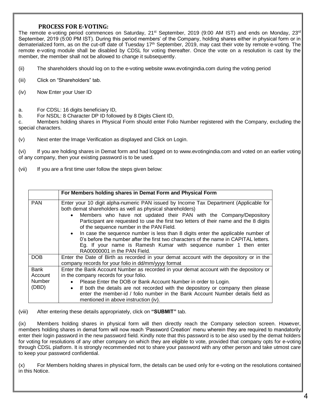# **PROCESS FOR E-VOTING:**

The remote e-voting period commences on Saturday, 21<sup>st</sup> September, 2019 (9:00 AM IST) and ends on Monday, 23<sup>rd</sup> September, 2019 (5:00 PM IST). During this period members' of the Company, holding shares either in physical form or in dematerialized form, as on the cut-off date of Tuesday 17<sup>th</sup> September, 2019, may cast their vote by remote e-voting. The remote e-voting module shall be disabled by CDSL for voting thereafter. Once the vote on a resolution is cast by the member, the member shall not be allowed to change it subsequently.

(ii) The shareholders should log on to the e-voting website www.evotingindia.com during the voting period

- (iii) Click on "Shareholders" tab.
- (iv) Now Enter your User ID
- a. For CDSL: 16 digits beneficiary ID,
- b. For NSDL: 8 Character DP ID followed by 8 Digits Client ID,

c. Members holding shares in Physical Form should enter Folio Number registered with the Company, excluding the special characters.

(v) Next enter the Image Verification as displayed and Click on Login.

(vi) If you are holding shares in Demat form and had logged on to www.evotingindia.com and voted on an earlier voting of any company, then your existing password is to be used.

(vii) If you are a first time user follow the steps given below:

|                                           | For Members holding shares in Demat Form and Physical Form                                                                                                                                                                                                                                                                                                                                                                                                                                                                                                                                                                   |
|-------------------------------------------|------------------------------------------------------------------------------------------------------------------------------------------------------------------------------------------------------------------------------------------------------------------------------------------------------------------------------------------------------------------------------------------------------------------------------------------------------------------------------------------------------------------------------------------------------------------------------------------------------------------------------|
| <b>PAN</b>                                | Enter your 10 digit alpha-numeric PAN issued by Income Tax Department (Applicable for<br>both demat shareholders as well as physical shareholders)<br>Members who have not updated their PAN with the Company/Depository<br>$\bullet$<br>Participant are requested to use the first two letters of their name and the 8 digits<br>of the sequence number in the PAN Field.<br>In case the sequence number is less than 8 digits enter the applicable number of<br>0's before the number after the first two characters of the name in CAPITAL letters.<br>Eg. If your name is Ramesh Kumar with sequence number 1 then enter |
| DOB                                       | RA00000001 in the PAN Field.<br>Enter the Date of Birth as recorded in your demat account with the depository or in the<br>company records for your folio in dd/mm/yyyy format                                                                                                                                                                                                                                                                                                                                                                                                                                               |
| Bank<br>Account<br><b>Number</b><br>(DBD) | Enter the Bank Account Number as recorded in your demat account with the depository or<br>in the company records for your folio.<br>Please Enter the DOB or Bank Account Number in order to Login.<br>$\bullet$<br>If both the details are not recorded with the depository or company then please<br>$\bullet$<br>enter the member-id / folio number in the Bank Account Number details field as<br>mentioned in above instruction (iv).                                                                                                                                                                                    |

(viii) After entering these details appropriately, click on **"SUBMIT"** tab.

(ix) Members holding shares in physical form will then directly reach the Company selection screen. However, members holding shares in demat form will now reach 'Password Creation' menu wherein they are required to mandatorily enter their login password in the new password field. Kindly note that this password is to be also used by the demat holders for voting for resolutions of any other company on which they are eligible to vote, provided that company opts for e-voting through CDSL platform. It is strongly recommended not to share your password with any other person and take utmost care to keep your password confidential.

(x) For Members holding shares in physical form, the details can be used only for e-voting on the resolutions contained in this Notice.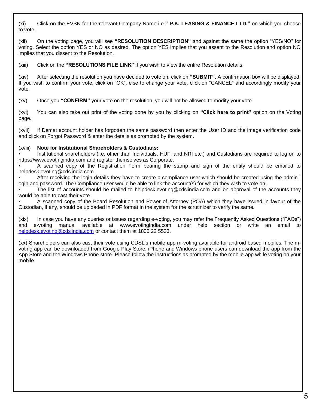(xi) Click on the EVSN for the relevant Company Name i.e.**" P.K. LEASING & FINANCE LTD."** on which you choose to vote.

(xii) On the voting page, you will see **"RESOLUTION DESCRIPTION"** and against the same the option "YES/NO" for voting. Select the option YES or NO as desired. The option YES implies that you assent to the Resolution and option NO implies that you dissent to the Resolution.

(xiii) Click on the **"RESOLUTIONS FILE LINK"** if you wish to view the entire Resolution details.

(xiv) After selecting the resolution you have decided to vote on, click on **"SUBMIT".** A confirmation box will be displayed. If you wish to confirm your vote, click on "OK", else to change your vote, click on "CANCEL" and accordingly modify your vote.

(xv) Once you **"CONFIRM"** your vote on the resolution, you will not be allowed to modify your vote.

(xvi) You can also take out print of the voting done by you by clicking on **"Click here to print"** option on the Voting page.

(xvii) If Demat account holder has forgotten the same password then enter the User ID and the image verification code and click on Forgot Password & enter the details as prompted by the system.

#### (xviii) **Note for Institutional Shareholders & Custodians:**

• Institutional shareholders (i.e. other than Individuals, HUF, and NRI etc.) and Custodians are required to log on to https://www.evotingindia.com and register themselves as Corporate.

• A scanned copy of the Registration Form bearing the stamp and sign of the entity should be emailed to helpdesk.evoting@cdslindia.com.

• After receiving the login details they have to create a compliance user which should be created using the admin l ogin and password. The Compliance user would be able to link the account(s) for which they wish to vote on.

• The list of accounts should be mailed to helpdesk.evoting@cdslindia.com and on approval of the accounts they would be able to cast their vote.

• A scanned copy of the Board Resolution and Power of Attorney (POA) which they have issued in favour of the Custodian, if any, should be uploaded in PDF format in the system for the scrutinizer to verify the same.

(xix) In case you have any queries or issues regarding e-voting, you may refer the Frequently Asked Questions ("FAQs") and e-voting manual available at www.evotingindia.com under help section or write an email to [helpdesk.evoting@cdslindia.com](mailto:helpdesk.evoting@cdslindia.com) or contact them at 1800 22 5533.

(xx) Shareholders can also cast their vote using CDSL's mobile app m-voting available for android based mobiles. The mvoting app can be downloaded from Google Play Store. iPhone and Windows phone users can download the app from the App Store and the Windows Phone store. Please follow the instructions as prompted by the mobile app while voting on your mobile.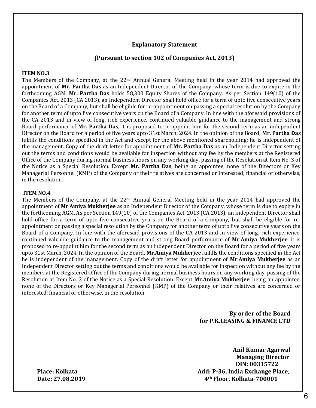#### **Explanatory Statement**

#### **(Pursuant to section 102 of Companies Act, 2013)**

#### **ITEM NO.3**

The Members of the Company, at the  $22<sup>nd</sup>$  Annual General Meeting held in the year 2014 had approved the appointment of **Mr. Partha Das** as an Independent Director of the Company, whose term is due to expire in the forthcoming AGM. **Mr. Partha Das** holds 58,300 Equity Shares of the Company. As per Section 149(10) of the Companies Act, 2013 (CA 2013), an Independent Director shall hold office for a term of upto five consecutive years on the Board of a Company, but shall be eligible for re-appointment on passing a special resolution by the Company for another term of upto five consecutive years on the Board of a Company. In line with the aforesaid provisions of the CA 2013 and in view of long, rich experience, continued valuable guidance to the management and strong Board performance of **Mr. Partha Das**, it is proposed to re-appoint him for the second term as an independent Director on the Board for a period of five years upto 31st March, 2024. In the opinion of the Board, **Mr. Partha Das** fulfills the conditions specified in the Act and except for the above mentioned shareholding; he is independent of the management. Copy of the draft letter for appointment of **Mr. Partha Das** as an Independent Director setting out the terms and conditions would be available for inspection without any fee by the members at the Registered Office of the Company during normal business hours on any working day, passing of the Resolution at Item No. 3 of the Notice as a Special Resolution. Except **Mr. Partha Das**, being an appointee, none of the Directors or Key Managerial Personnel (KMP) of the Company or their relatives are concerned or interested, financial or otherwise, in the resolution.

#### **ITEM NO.4**

The Members of the Company, at the  $22<sup>nd</sup>$  Annual General Meeting held in the year 2014 had approved the appointment of **Mr**.**Amiya Mukherjee** as an Independent Director of the Company, whose term is due to expire in the forthcoming AGM. As per Section 149(10) of the Companies Act, 2013 (CA 2013), an Independent Director shall hold office for a term of upto five consecutive years on the Board of a Company, but shall be eligible for reappointment on passing a special resolution by the Company for another term of upto five consecutive years on the Board of a Company. In line with the aforesaid provisions of the CA 2013 and in view of long, rich experience, continued valuable guidance to the management and strong Board performance of **Mr**.**Amiya Mukherjee**, it is proposed to re-appoint him for the second term as an independent Director on the Board for a period of five years upto 31st March, 2024. In the opinion of the Board, **Mr**.**Amiya Mukherjee** fulfills the conditions specified in the Act he is independent of the management. Copy of the draft letter for appointment of **Mr**.**Amiya Mukherjee** as an Independent Director setting out the terms and conditions would be available for inspection without any fee by the members at the Registered Office of the Company during normal business hours on any working day, passing of the Resolution at Item No. 3 of the Notice as a Special Resolution. Except **Mr**.**Amiya Mukherjee**, being an appointee, none of the Directors or Key Managerial Personnel (KMP) of the Company or their relatives are concerned or interested, financial or otherwise, in the resolution.

> **By order of the Board for P.K.LEASING & FINANCE LTD**

**Anil Kumar Agarwal Managing Director DIN: 00315722 Place: Kolkata Add: P-36, India Exchange Place**, **Date: 27.08.2019 4th Floor, Kolkata-700001**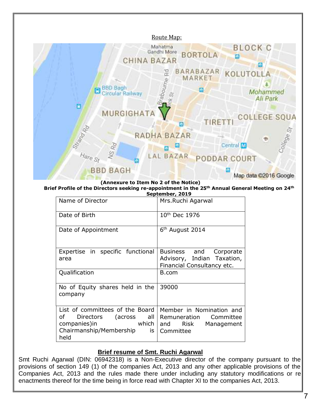

**(Annexure to Item No 2 of the Notice)**

**Brief Profile of the Directors seeking re-appointment in the 25th Annual General Meeting on 24th September, 2019**

| Name of Director                                                                                                                  | Mrs.Ruchi Agarwal                                                                      |
|-----------------------------------------------------------------------------------------------------------------------------------|----------------------------------------------------------------------------------------|
| Date of Birth                                                                                                                     | $10th$ Dec 1976                                                                        |
| Date of Appointment                                                                                                               | 6 <sup>th</sup> August 2014                                                            |
| Expertise in specific functional<br>area                                                                                          | Business and Corporate<br>Advisory, Indian Taxation,<br>Financial Consultancy etc.     |
| Qualification                                                                                                                     | B.com                                                                                  |
| No of Equity shares held in the<br>company                                                                                        | 39000                                                                                  |
| List of committees of the Board<br>οf<br>Directors (across all<br>which<br>companies) in<br>Chairmanship/Membership<br>is<br>held | Member in Nomination and<br>Remuneration Committee<br>and Risk Management<br>Committee |

# **Brief resume of Smt. Ruchi Agarwal**

Smt Ruchi Agarwal (DIN: 06942318) is a Non-Executive director of the company pursuant to the provisions of section 149 (1) of the companies Act, 2013 and any other applicable provisions of the Companies Act, 2013 and the rules made there under including any statutory modifications or re enactments thereof for the time being in force read with Chapter XI to the companies Act, 2013.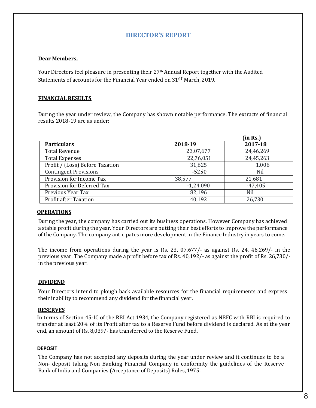# **DIRECTOR'S REPORT**

#### **Dear Members,**

Your Directors feel pleasure in presenting their 27<sup>th</sup> Annual Report together with the Audited Statements of accounts for the Financial Year ended on 31st March, 2019.

#### **FINANCIAL RESULTS**

During the year under review, the Company has shown notable performance. The extracts of financial results 2018-19 are as under:

|                                 |             | (in Rs.)  |
|---------------------------------|-------------|-----------|
| <b>Particulars</b>              | 2018-19     | 2017-18   |
| <b>Total Revenue</b>            | 23,07,677   | 24,46,269 |
| <b>Total Expenses</b>           | 22,76,051   | 24,45,263 |
| Profit / (Loss) Before Taxation | 31,625      | 1,006     |
| <b>Contingent Provisions</b>    | $-5250$     | Nil       |
| Provision for Income Tax        | 38,577      | 21,681    |
| Provision for Deferred Tax      | $-1,24,090$ | $-47,405$ |
| Previous Year Tax               | 82,196      | Nil       |
| <b>Profit after Taxation</b>    | 40,192      | 26,730    |

#### **OPERATIONS**

During the year, the company has carried out its business operations. However Company has achieved a stable profit during the year. Your Directors are putting their best efforts to improve the performance of the Company. The company anticipates more development in the Finance Industry in years to come.

The income from operations during the year is Rs. 23, 07,677/- as against Rs. 24, 46,269/- in the previous year. The Company made a profit before tax of Rs. 40,192/- as against the profit of Rs. 26,730/ in the previous year.

## **DIVIDEND**

Your Directors intend to plough back available resources for the financial requirements and express their inability to recommend any dividend for the financial year.

#### **RESERVES**

In terms of Section 45-IC of the RBI Act 1934, the Company registered as NBFC with RBI is required to transfer at least 20% of its Profit after tax to a Reserve Fund before dividend is declared. As at the year end, an amount of Rs. 8,039/- has transferred to the Reserve Fund.

#### **DEPOSIT**

The Company has not accepted any deposits during the year under review and it continues to be a Non- deposit taking Non Banking Financial Company in conformity the guidelines of the Reserve Bank of India and Companies (Acceptance of Deposits) Rules, 1975.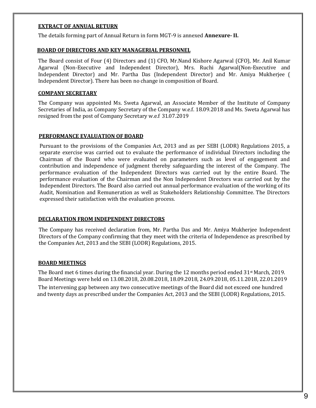#### **EXTRACT OF ANNUAL RETURN**

The details forming part of Annual Return in form MGT-9 is annexed **Annexure- II.**

#### **BOARD OF DIRECTORS AND KEY MANAGERIAL PERSONNEL**

The Board consist of Four (4) Directors and (1) CFO, Mr.Nand Kishore Agarwal (CFO), Mr. Anil Kumar Agarwal (Non-Executive and Independent Director), Mrs. Ruchi Agarwal(Non-Executive and Independent Director) and Mr. Partha Das (Independent Director) and Mr. Amiya Mukherjee ( Independent Director). There has been no change in composition of Board.

## **COMPANY SECRETARY**

The Company was appointed Ms. Sweta Agarwal, an Associate Member of the Institute of Company Secretaries of India, as Company Secretary of the Company w.e.f. 18.09.2018 and Ms. Sweta Agarwal has resigned from the post of Company Secretary w.e.f 31.07.2019

## **PERFORMANCE EVALUATION OF BOARD**

Pursuant to the provisions of the Companies Act, 2013 and as per SEBI (LODR) Regulations 2015, a separate exercise was carried out to evaluate the performance of individual Directors including the Chairman of the Board who were evaluated on parameters such as level of engagement and contribution and independence of judgment thereby safeguarding the interest of the Company. The performance evaluation of the Independent Directors was carried out by the entire Board. The performance evaluation of the Chairman and the Non Independent Directors was carried out by the Independent Directors. The Board also carried out annual performance evaluation of the working of its Audit, Nomination and Remuneration as well as Stakeholders Relationship Committee. The Directors expressed their satisfaction with the evaluation process.

#### **DECLARATION FROM INDEPENDENT DIRECTORS**

The Company has received declaration from, Mr. Partha Das and Mr. Amiya Mukherjee Independent Directors of the Company confirming that they meet with the criteria of Independence as prescribed by the Companies Act, 2013 and the SEBI (LODR) Regulations, 2015.

## **BOARD MEETINGS**

The Board met 6 times during the financial year. During the 12 months period ended  $31<sup>st</sup>$  March, 2019. Board Meetings were held on 13.08.2018, 20.08.2018, 18.09.2018, 24.09.2018, 05.11.2018, 22.01.2019

The intervening gap between any two consecutive meetings of the Board did not exceed one hundred and twenty days as prescribed under the Companies Act, 2013 and the SEBI (LODR) Regulations, 2015.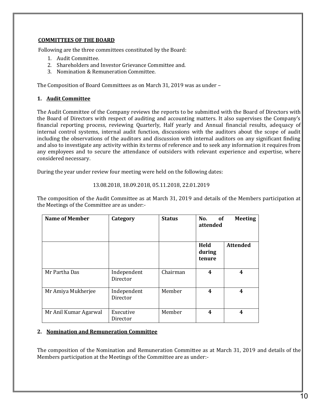## **COMMITTEES OF THE BOARD**

Following are the three committees constituted by the Board:

- 1. Audit Committee.
- 2. Shareholders and Investor Grievance Committee and.
- 3. Nomination & Remuneration Committee.

The Composition of Board Committees as on March 31, 2019 was as under –

## **1. Audit Committee**

The Audit Committee of the Company reviews the reports to be submitted with the Board of Directors with the Board of Directors with respect of auditing and accounting matters. It also supervises the Company's financial reporting process, reviewing Quarterly, Half yearly and Annual financial results, adequacy of internal control systems, internal audit function, discussions with the auditors about the scope of audit including the observations of the auditors and discussion with internal auditors on any significant finding and also to investigate any activity within its terms of reference and to seek any information it requires from any employees and to secure the attendance of outsiders with relevant experience and expertise, where considered necessary.

During the year under review four meeting were held on the following dates:

#### 13.08.2018, 18.09.2018, 05.11.2018, 22.01.2019

The composition of the Audit Committee as at March 31, 2019 and details of the Members participation at the Meetings of the Committee are as under:-

| <b>Name of Member</b> | Category                | <b>Status</b> | No.<br>of<br>attended    | <b>Meeting</b>  |
|-----------------------|-------------------------|---------------|--------------------------|-----------------|
|                       |                         |               | Held<br>during<br>tenure | <b>Attended</b> |
| Mr Partha Das         | Independent<br>Director | Chairman      | 4                        | 4               |
| Mr Amiya Mukherjee    | Independent<br>Director | Member        | 4                        | 4               |
| Mr Anil Kumar Agarwal | Executive<br>Director   | Member        | 4                        | 4               |

## **2. Nomination and Remuneration Committee**

The composition of the Nomination and Remuneration Committee as at March 31, 2019 and details of the Members participation at the Meetings of the Committee are as under:-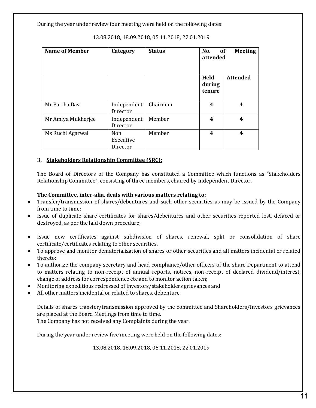During the year under review four meeting were held on the following dates:

| <b>Name of Member</b> | Category                     | <b>Status</b> | No.<br>of<br>attended    | <b>Meeting</b>  |
|-----------------------|------------------------------|---------------|--------------------------|-----------------|
|                       |                              |               | Held<br>during<br>tenure | <b>Attended</b> |
| Mr Partha Das         | Independent<br>Director      | Chairman      | 4                        | 4               |
| Mr Amiya Mukherjee    | Independent<br>Director      | Member        | 4                        | 4               |
| Ms Ruchi Agarwal      | Non<br>Executive<br>Director | Member        | 4                        | 4               |

#### 13.08.2018, 18.09.2018, 05.11.2018, 22.01.2019

#### **3. Stakeholders Relationship Committee (SRC):**

The Board of Directors of the Company has constituted a Committee which functions as "Stakeholders Relationship Committee", consisting of three members, chaired by Independent Director.

#### **The Committee, inter-alia, deals with various matters relating to:**

- Transfer/transmission of shares/debentures and such other securities as may be issued by the Company from time to time;
- Issue of duplicate share certificates for shares/debentures and other securities reported lost, defaced or destroyed, as per the laid down procedure;
- Issue new certificates against subdivision of shares, renewal, split or consolidation of share certificate/certificates relating to other securities.
- To approve and monitor dematerialization of shares or other securities and all matters incidental or related thereto;
- To authorize the company secretary and head compliance/other officers of the share Department to attend to matters relating to non-receipt of annual reports, notices, non-receipt of declared dividend/interest, change of address for correspondence etc and to monitor action taken;
- Monitoring expeditious redressed of investors/stakeholders grievances and
- All other matters incidental or related to shares, debenture

Details of shares transfer/transmission approved by the committee and Shareholders/Investors grievances are placed at the Board Meetings from time to time. The Company has not received any Complaints during the year.

During the year under review five meeting were held on the following dates:

13.08.2018, 18.09.2018, 05.11.2018, 22.01.2019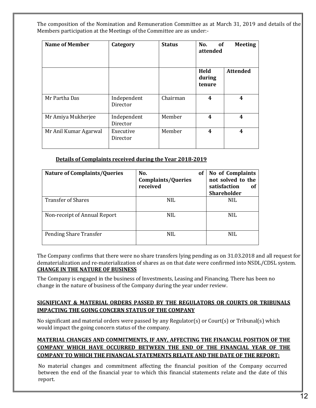The composition of the Nomination and Remuneration Committee as at March 31, 2019 and details of the Members participation at the Meetings of the Committee are as under:-

| <b>Name of Member</b> | Category                | <b>Status</b> | of<br>No.<br>attended           | <b>Meeting</b>   |
|-----------------------|-------------------------|---------------|---------------------------------|------------------|
|                       |                         |               | <b>Held</b><br>during<br>tenure | <b>Attended</b>  |
| Mr Partha Das         | Independent<br>Director | Chairman      | 4                               | $\boldsymbol{4}$ |
| Mr Amiya Mukherjee    | Independent<br>Director | Member        | 4                               | $\boldsymbol{4}$ |
| Mr Anil Kumar Agarwal | Executive<br>Director   | Member        | 4                               | 4                |

# **Details of Complaints received during the Year 2018-2019**

| <b>Nature of Complaints/Queries</b> | No.<br>оf<br><b>Complaints/Queries</b><br>received | No of Complaints<br>not solved to the<br>satisfaction<br>оf<br><b>Shareholder</b> |
|-------------------------------------|----------------------------------------------------|-----------------------------------------------------------------------------------|
| <b>Transfer of Shares</b>           | <b>NIL</b>                                         | <b>NIL</b>                                                                        |
| Non-receipt of Annual Report        | <b>NIL</b>                                         | <b>NIL</b>                                                                        |
| Pending Share Transfer              | NII.                                               | NII.                                                                              |

The Company confirms that there were no share transfers lying pending as on 31.03.2018 and all request for dematerialization and re-materialization of shares as on that date were confirmed into NSDL/CDSL system. **CHANGE IN THE NATURE OF BUSINESS**

The Company is engaged in the business of Investments, Leasing and Financing. There has been no change in the nature of business of the Company during the year under review.

# **SIGNIFICANT & MATERIAL ORDERS PASSED BY THE REGULATORS OR COURTS OR TRIBUNALS IMPACTING THE GOING CONCERN STATUS OF THE COMPANY**

No significant and material orders were passed by any Regulator(s) or Court(s) or Tribunal(s) which would impact the going concern status of the company.

# **MATERIAL CHANGES AND COMMITMENTS, IF ANY, AFFECTING THE FINANCIAL POSITION OF THE COMPANY WHICH HAVE OCCURRED BETWEEN THE END OF THE FINANCIAL YEAR OF THE COMPANY TO WHICH THE FINANCIAL STATEMENTS RELATE AND THE DATE OF THE REPORT:**

No material changes and commitment affecting the financial position of the Company occurred between the end of the financial year to which this financial statements relate and the date of this report.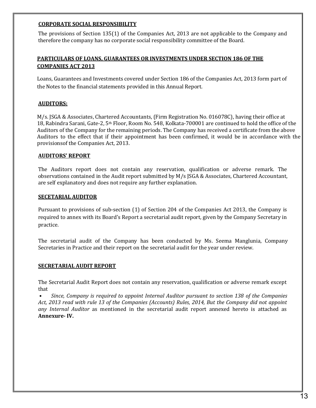# **CORPORATE SOCIAL RESPONSIBILITY**

The provisions of Section 135(1) of the Companies Act, 2013 are not applicable to the Company and therefore the company has no corporate social responsibility committee of the Board.

## **PARTICULARS OF LOANS, GUARANTEES OR INVESTMENTS UNDER SECTION 186 OF THE COMPANIES ACT 2013**

Loans, Guarantees and Investments covered under Section 186 of the Companies Act, 2013 form part of the Notes to the financial statements provided in this Annual Report.

# **AUDITORS:**

M/s. JSGA & Associates, Chartered Accountants, (Firm Registration No. 016078C), having their office at 18, Rabindra Sarani, Gate-2, 5th Floor, Room No. 548, Kolkata-700001 are continued to hold the office of the Auditors of the Company for the remaining periods. The Company has received a certificate from the above Auditors to the effect that if their appointment has been confirmed, it would be in accordance with the provisionsof the Companies Act, 2013.

## **AUDITORS' REPORT**

The Auditors report does not contain any reservation, qualification or adverse remark. The observations contained in the Audit report submitted by M/s JSGA & Associates, Chartered Accountant, are self explanatory and does not require any further explanation.

#### **SECETARIAL AUDITOR**

Pursuant to provisions of sub-section (1) of Section 204 of the Companies Act 2013, the Company is required to annex with its Board's Report a secretarial audit report, given by the Company Secretary in practice.

The secretarial audit of the Company has been conducted by Ms. Seema Manglunia, Company Secretaries in Practice and their report on the secretarial audit for the year under review.

## **SECRETARIAL AUDIT REPORT**

The Secretarial Audit Report does not contain any reservation, qualification or adverse remark except that

• *Since, Company is required to appoint Internal Auditor pursuant to section 138 of the Companies Act, 2013 read with rule 13 of the Companies (Accounts) Rules, 2014, But the Company did not appoint any Internal Auditor* as mentioned in the secretarial audit report annexed hereto is attached as **Annexure- IV.**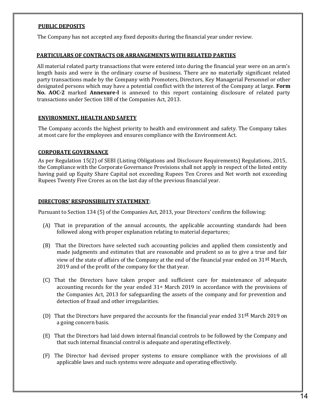## **PUBLIC DEPOSITS**

The Company has not accepted any fixed deposits during the financial year under review.

#### **PARTICULARS OF CONTRACTS OR ARRANGEMENTS WITH RELATED PARTIES**

All material related party transactions that were entered into during the financial year were on an arm's length basis and were in the ordinary course of business. There are no materially significant related party transactions made by the Company with Promoters, Directors, Key Managerial Personnel or other designated persons which may have a potential conflict with the interest of the Company at large. **Form No. AOC-2** marked **Annexure-l** is annexed to this report containing disclosure of related party transactions under Section 188 of the Companies Act, 2013.

#### **ENVIRONMENT, HEALTH AND SAFETY**

The Company accords the highest priority to health and environment and safety. The Company takes at most care for the employees and ensures compliance with the Environment Act.

#### **CORPORATE GOVERNANCE**

As per Regulation 15(2) of SEBI (Listing Obligations and Disclosure Requirements) Regulations, 2015, the Compliance with the Corporate Governance Provisions shall not apply in respect of the listed entity having paid up Equity Share Capital not exceeding Rupees Ten Crores and Net worth not exceeding Rupees Twenty Five Crores as on the last day of the previous financial year.

#### **DIRECTORS' RESPONSIBILITY STATEMENT:**

Pursuant to Section 134 (5) of the Companies Act, 2013, your Directors' confirm the following:

- (A) That in preparation of the annual accounts, the applicable accounting standards had been followed along with proper explanation relating to material departures;
- (B) That the Directors have selected such accounting policies and applied them consistently and made judgments and estimates that are reasonable and prudent so as to give a true and fair view of the state of affairs of the Company at the end of the financial year ended on  $31^{st}$  March, 2019 and of the profit of the company for the thatyear.
- (C) That the Directors have taken proper and sufficient care for maintenance of adequate accounting records for the year ended  $31<sup>st</sup>$  March 2019 in accordance with the provisions of the Companies Act, 2013 for safeguarding the assets of the company and for prevention and detection of fraud and other irregularities.
- (D) That the Directors have prepared the accounts for the financial year ended  $31^{st}$  March 2019 on a going concern basis.
- (E) That the Directors had laid down internal financial controls to be followed by the Company and that such internal financial control is adequate and operating effectively.
- (F) The Director had devised proper systems to ensure compliance with the provisions of all applicable laws and such systems were adequate and operating effectively.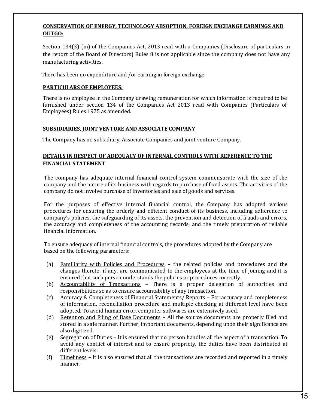## **CONSERVATION OF ENERGY, TECHNOLOGY ABSOPTION, FOREIGN EXCHANGE EARNINGS AND OUTGO:**

Section 134(3) (m) of the Companies Act, 2013 read with a Companies (Disclosure of particulars in the report of the Board of Directors) Rules 8 is not applicable since the company does not have any manufacturing activities.

There has been no expenditure and /or earning in foreign exchange.

## **PARTICULARS OF EMPLOYEES:**

There is no employee in the Company drawing remuneration for which information is required to be furnished under section 134 of the Companies Act 2013 read with Companies (Particulars of Employees) Rules 1975 as amended.

## **SUBSIDIARIES, JOINT VENTURE AND ASSOCIATE COMPANY**

The Company has no subsidiary, Associate Companies and joint venture Company.

# **DETAILS IN RESPECT OF ADEQUACY OF INTERNAL CONTROLS WITH REFERENCE TO THE FINANCIAL STATEMENT**

The company has adequate internal financial control system commensurate with the size of the company and the nature of its business with regards to purchase of fixed assets. The activities of the company do not involve purchase of inventories and sale of goods and services.

For the purposes of effective internal financial control, the Company has adopted various procedures for ensuring the orderly and efficient conduct of its business, including adherence to company's policies, the safeguarding of its assets, the prevention and detection of frauds and errors, the accuracy and completeness of the accounting records, and the timely preparation of reliable financial information.

To ensure adequacy of internal financial controls, the procedures adopted by the Company are based on the following parameters:

- (a) Familiarity with Policies and Procedures the related policies and procedures and the changes thereto, if any, are communicated to the employees at the time of joining and it is ensured that such person understands the policies or procedures correctly.
- (b) Accountability of Transactions There is a proper delegation of authorities and responsibilities so as to ensure accountability of any transaction.
- (c) Accuracy & Completeness of Financial Statements/ Reports For accuracy and completeness of information, reconciliation procedure and multiple checking at different level have been adopted. To avoid human error, computer softwares are extensively used.
- (d) Retention and Filing of Base Documents All the source documents are properly filed and stored in a safe manner. Further, important documents, depending upon their significance are also digitized.
- (e) Segregation of Duties It is ensured that no person handles all the aspect of a transaction. To avoid any conflict of interest and to ensure propriety, the duties have been distributed at different levels.
- (f) Timeliness It is also ensured that all the transactions are recorded and reported in a timely manner.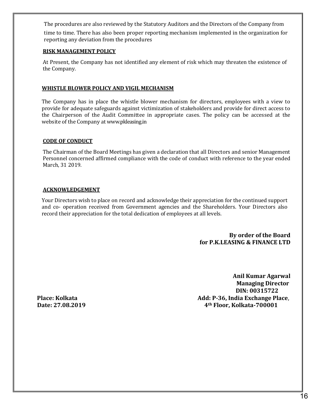The procedures are also reviewed by the Statutory Auditors and the Directors of the Company from time to time. There has also been proper reporting mechanism implemented in the organization for reporting any deviation from the procedures

#### **RISK MANAGEMENT POLICY**

At Present, the Company has not identified any element of risk which may threaten the existence of the Company.

#### **WHISTLE BLOWER POLICY AND VIGIL MECHANISM**

The Company has in place the whistle blower mechanism for directors, employees with a view to provide for adequate safeguards against victimization of stakeholders and provide for direct access to the Chairperson of the Audit Committee in appropriate cases. The policy can be accessed at the website of the Company at www.pkleasing.in

#### **CODE OF CONDUCT**

The Chairman of the Board Meetings has given a declaration that all Directors and senior Management Personnel concerned affirmed compliance with the code of conduct with reference to the year ended March, 31 2019.

#### **ACKNOWLEDGEMENT**

Your Directors wish to place on record and acknowledge their appreciation for the continued support and co- operation received from Government agencies and the Shareholders. Your Directors also record their appreciation for the total dedication of employees at all levels.

> **By order of the Board for P.K.LEASING & FINANCE LTD**

**Anil Kumar Agarwal Managing Director DIN: 00315722 Place:** Kolkata **Add:** P-36, India Exchange Place, **Date: 27.08.2019 4th Floor, Kolkata-700001**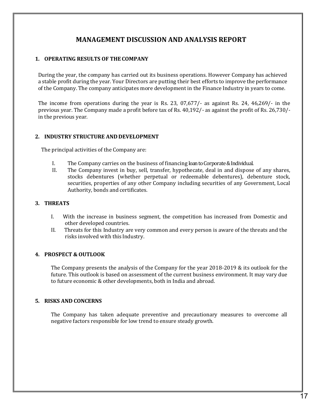# **MANAGEMENT DISCUSSION AND ANALYSIS REPORT**

#### **1. OPERATING RESULTS OF THE COMPANY**

During the year, the company has carried out its business operations. However Company has achieved a stable profit during the year. Your Directors are putting their best efforts to improve the performance of the Company. The company anticipates more development in the Finance Industry in years to come.

The income from operations during the year is Rs. 23, 07,677/- as against Rs. 24, 46,269/- in the previous year. The Company made a profit before tax of Rs. 40,192/- as against the profit of Rs. 26,730/ in the previous year.

#### **2. INDUSTRY STRUCTURE AND DEVELOPMENT**

The principal activities of the Company are:

- I. The Company carries on the business of financing loan to Corporate & Individual.
- II. The Company invest in buy, sell, transfer, hypothecate, deal in and dispose of any shares, stocks debentures (whether perpetual or redeemable debentures), debenture stock, securities, properties of any other Company including securities of any Government, Local Authority, bonds and certificates.

#### **3. THREATS**

- I. With the increase in business segment, the competition has increased from Domestic and other developed countries.
- II. Threats for this Industry are very common and every person is aware of the threats and the risks involved with this Industry.

## **4. PROSPECT & OUTLOOK**

The Company presents the analysis of the Company for the year 2018-2019 & its outlook for the future. This outlook is based on assessment of the current business environment. It may vary due to future economic & other developments, both in India and abroad.

#### **5. RISKS AND CONCERNS**

The Company has taken adequate preventive and precautionary measures to overcome all negative factors responsible for low trend to ensure steady growth.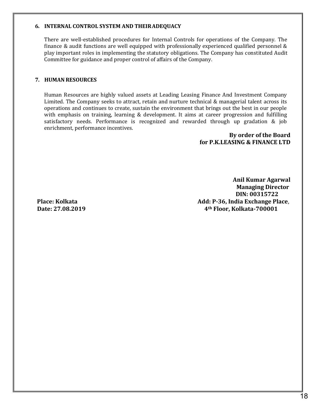#### **6. INTERNAL CONTROL SYSTEM AND THEIRADEQUACY**

There are well-established procedures for Internal Controls for operations of the Company. The finance & audit functions are well equipped with professionally experienced qualified personnel & play important roles in implementing the statutory obligations. The Company has constituted Audit Committee for guidance and proper control of affairs of the Company.

#### **7. HUMAN RESOURCES**

Human Resources are highly valued assets at Leading Leasing Finance And Investment Company Limited. The Company seeks to attract, retain and nurture technical & managerial talent across its operations and continues to create, sustain the environment that brings out the best in our people with emphasis on training, learning & development. It aims at career progression and fulfilling satisfactory needs. Performance is recognized and rewarded through up gradation & job enrichment, performance incentives.

## **By order of the Board for P.K.LEASING & FINANCE LTD**

**Anil Kumar Agarwal Managing Director DIN: 00315722 Place:** Kolkata **Add:** P-36, India Exchange Place, **Date: 27.08.2019 4th Floor, Kolkata-700001**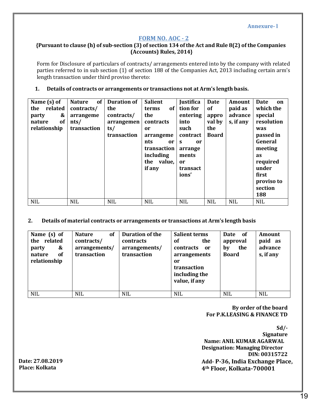#### **Annexure- l**

# **FORM NO. AOC - 2**

#### {Pursuant to clause (h) of sub-section (3) of section 134 of the Act and Rule 8(2) of the Companies **(Accounts) Rules, 2014}**

Form for Disclosure of particulars of contracts/ arrangements entered into by the company with related parties referred to in sub section (1) of section 188 of the Companies Act, 2013 including certain arm's length transaction under third proviso thereto:

#### **1. Details of contracts or arrangements or transactions not at Arm's length basis.**

| Name (s) of<br>related<br>the<br>&<br>party<br><b>of</b><br>nature<br>relationship | of<br><b>Nature</b><br>contracts/<br>arrangeme<br>nts/<br>transaction | <b>Duration of</b><br>the<br>contracts/<br>arrangemen<br>ts/<br>transaction | <b>Salient</b><br>of  <br>terms<br>the<br>contracts<br><b>or</b><br>arrangeme<br>nts<br>or<br>transaction<br>including<br>value,<br>the<br>if any | <b>Justifica</b><br>tion for<br>entering<br>into<br>such<br>contract<br>$\mathbf{s}$<br><sub>or</sub><br>arrange<br>ments<br>or<br>transact<br>ions' | <b>Date</b><br>of<br>appro<br>val by<br>the<br><b>Board</b> | Amount<br>paid as<br>advance<br>s, if any | Date<br>on<br>which the<br>special<br>resolution<br>was<br>passed in<br>General<br>meeting<br><b>as</b><br>required<br>under<br>first<br>proviso to<br>section<br>188 |
|------------------------------------------------------------------------------------|-----------------------------------------------------------------------|-----------------------------------------------------------------------------|---------------------------------------------------------------------------------------------------------------------------------------------------|------------------------------------------------------------------------------------------------------------------------------------------------------|-------------------------------------------------------------|-------------------------------------------|-----------------------------------------------------------------------------------------------------------------------------------------------------------------------|
| <b>NIL</b>                                                                         | <b>NIL</b>                                                            | <b>NIL</b>                                                                  | <b>NIL</b>                                                                                                                                        | <b>NIL</b>                                                                                                                                           | <b>NIL</b>                                                  | <b>NIL</b>                                | <b>NIL</b>                                                                                                                                                            |

#### **2. Details of material contracts or arrangements or transactions at Arm's length basis**

| Name (s) of<br>the related<br>&<br>party<br><b>of</b><br>nature<br>relationship | of<br><b>Nature</b><br>contracts/<br>arrangements/<br>transaction | <b>Duration of the</b><br>contracts<br>arrangements/<br>transaction | <b>Salient terms</b><br>of<br>the<br><b>contracts</b><br>or<br>arrangements<br><b>or</b><br>transaction<br>including the<br>value, if any | Date of<br>approval<br>the<br>by<br><b>Board</b> | Amount<br>paid as<br>advance<br>s, if any |
|---------------------------------------------------------------------------------|-------------------------------------------------------------------|---------------------------------------------------------------------|-------------------------------------------------------------------------------------------------------------------------------------------|--------------------------------------------------|-------------------------------------------|
| <b>NIL</b>                                                                      | <b>NIL</b>                                                        | <b>NIL</b>                                                          | <b>NIL</b>                                                                                                                                | <b>NIL</b>                                       | <b>NIL</b>                                |

**By order of the board For P.K.LEASING & FINANCE TD**

**Sd/-**

**Signature Name: ANIL KUMAR AGARWAL Designation: Managing Director DIN: 00315722 Add- P-36, India Exchange Place, 4th Floor, Kolkata-700001**

**Date: 27.08.2019 Place: Kolkata**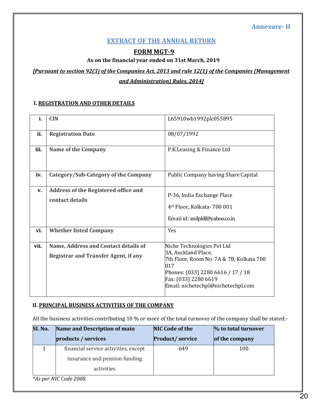# **Annexure- II**

# **EXTRACT OF THE ANNUAL RETURN**

# **FORM MGT-9**

# **As on the financial year ended on 31st March, 2019**

*[Pursuant to section 92(3) of the Companies Act, 2013 and rule 12(1) of the Companies (Management*

*and Administration) Rules, 2014]*

#### **I. REGISTRATION AND OTHER DETAILS**

| i.   | <b>CIN</b>                                                     | L65910wb1992plc055895                                                                                                                                                     |
|------|----------------------------------------------------------------|---------------------------------------------------------------------------------------------------------------------------------------------------------------------------|
| ii.  | <b>Registration Date</b>                                       | 08/07/1992                                                                                                                                                                |
| iii. | <b>Name of the Company</b>                                     | P.K.Leasing & Finance Ltd                                                                                                                                                 |
| iv.  | Category/Sub-Category of the Company                           | Public Company having Share Capital                                                                                                                                       |
| V.   | <b>Address of the Registered office and</b><br>contact details | P-36, India Exchange Place<br>4 <sup>th</sup> Floor, Kolkata-700 001<br>Email id: anilpklf@yahoo.co.in                                                                    |
| vi.  | <b>Whether listed Company</b>                                  | Yes                                                                                                                                                                       |
| vii. | Name, Address and Contact details of                           | Niche Technologies Pvt Ltd                                                                                                                                                |
|      | <b>Registrar and Transfer Agent, if any</b>                    | 3A, Auckland Place,<br>7th Floor, Room No. 7A & 7B, Kolkata 700<br>017<br>Phones: (033) 2280 6616 / 17 / 18<br>Fax: (033) 2280 6619<br>Email: nichetechpl@nichetechpl.com |

#### **II. PRINCIPAL BUSINESS ACTIVITIES OF THE COMPANY**

All the business activities contributing 10 % or more of the total turnover of the company shall be stated:-

| SI. No. | Name and Description of main         | <b>NIC Code of the</b> | % to total turnover |  |
|---------|--------------------------------------|------------------------|---------------------|--|
|         | products / services                  | <b>Product/service</b> | of the company      |  |
|         | financial service activities, except | 649                    | 100                 |  |
|         | insurance and pension funding        |                        |                     |  |
|         | activities                           |                        |                     |  |

*\*As per NIC Code 2008.*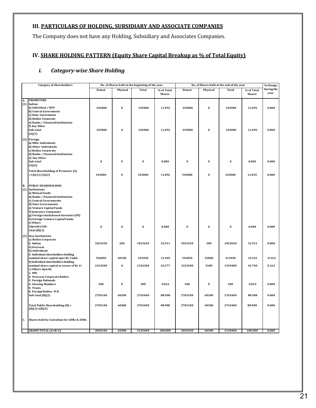# **III. PARTICULARS OF HOLDING, SUBSIDIARY AND ASSOCIATE COMPANIES**

The Company does not have any Holding, Subsidiary and Associates Companies.

# **IV. SHARE HOLDING PATTERN (Equity Share Capital Breakup as % of Total Equity)**

# *i. Category-wise Share Holding*

| <b>Category of Shareholders</b> |                                                                                                                                                                                                                                                                                                                                                 | No. of Shares held at the beginning of the year |                  |           | No. of Shares held at the end of the year |           |                  |              | % Change                    |                    |
|---------------------------------|-------------------------------------------------------------------------------------------------------------------------------------------------------------------------------------------------------------------------------------------------------------------------------------------------------------------------------------------------|-------------------------------------------------|------------------|-----------|-------------------------------------------|-----------|------------------|--------------|-----------------------------|--------------------|
|                                 |                                                                                                                                                                                                                                                                                                                                                 | Demat                                           | Physical         | Total     | % of Total<br><b>Shares</b>               | Demat     | Physical         | <b>Total</b> | % of Total<br><b>Shares</b> | during the<br>year |
| <b>A.</b>                       | <b>PROMOTERS</b>                                                                                                                                                                                                                                                                                                                                |                                                 |                  |           |                                           |           |                  |              |                             |                    |
|                                 | $(1)$ Indian<br>a) Individual / HUF<br>b) Central Government<br>c) State Government<br>d) Bodies Corporate                                                                                                                                                                                                                                      | 345000                                          | $\bf{0}$         | 345000    | 11.092                                    | 345000    | $\bf{0}$         | 345000       | 11.092                      | 0.000              |
|                                 | e) Banks / Financial Institutions<br>f) Any Other<br>Sub-total<br>(A)(1)                                                                                                                                                                                                                                                                        | 345000                                          | $\bf{0}$         | 345000    | 11.092                                    | 345000    | $\bf{0}$         | 345000       | 11.092                      | 0.000              |
|                                 | (2) Foreign<br>a) NRIs-Individuals<br>b) Other-Individuals<br>c) Bodies Corporate<br>d) Banks / Financial Institutions<br>e) Any Other<br>Sub-total<br>(A)(2)                                                                                                                                                                                   | $\bf{0}$                                        | $\bf{0}$         | $\pmb{0}$ | 0.000                                     | $\pmb{0}$ | $\boldsymbol{0}$ | $\bf{0}$     | 0.000                       | 0.000              |
|                                 | <b>Total Shareholding of Promoter (A)</b><br>$= (A)(1)+(A)(2)$                                                                                                                                                                                                                                                                                  | 345000                                          | $\bf{0}$         | 345000    | 11.092                                    | 345000    | $\bf{0}$         | 345000       | 11.092                      | 0.000              |
| B.                              | <b>PUBLIC SHAREHOLDING</b><br>(1) Institutions<br>a) Mutual Funds<br>b) Banks / Financial Institutions<br>c) Central Governments<br>d) State Governments<br>e) Venture Capital Funds<br>f) Insurance Companies<br>g) Foreign Institutional Investors (FII)<br>h) Foreign Venture Capital Funds<br>i) Others<br>(Specify) Sub-<br>total $(B)(1)$ | $\bf{0}$                                        | $\bf{0}$         | $\pmb{0}$ | 0.000                                     | $\pmb{0}$ | $\bf{0}$         | $\bf{0}$     | 0.000                       | 0.000              |
|                                 | (2) Non-Institutions<br>a) Bodies Corporate<br>i) Indian<br>ii) Overseas<br>b) Individuals<br>i) Individual shareholders holding                                                                                                                                                                                                                | 1023450                                         | 200              | 1023650   | 32.911                                    | 1023450   | 200              | 1023650      | 32.911                      | 0.000              |
|                                 | nominal share capital upto Rs 1 lakh<br>ii) Individual shareholders holding                                                                                                                                                                                                                                                                     | 356850                                          | 60100            | 416950    | 13.405                                    | 356850    | 55000            | 411850       | 13.241                      | $-0.164$           |
|                                 | nominal share capital in excess of Rs 11<br>c) Others Specify<br><b>1. NRI</b>                                                                                                                                                                                                                                                                  | 1324300                                         | $\bf{0}$         | 1324300   | 42.577                                    | 1324300   | 5100             | 1329400      | 42.740                      | 0.163              |
|                                 | 2. Overseas Corporate Bodies<br>3. Foreign Nationals<br>4. Clearing Members                                                                                                                                                                                                                                                                     | 500                                             | $\boldsymbol{0}$ | 500       | 0.016                                     | 500       | $\boldsymbol{0}$ | 500          | 0.016                       | 0.000              |
|                                 | 5. Trusts<br>6. Foreign Bodies - D.R.<br>Sub-total (B)(2)                                                                                                                                                                                                                                                                                       | 2705100                                         | 60300            | 2765400   | 88.908                                    | 2705100   | 60300            | 2765400      | 88.908                      | 0.000              |
|                                 | Total Public Shareholding (B) =<br>$(B)(1)+(B)(2)$                                                                                                                                                                                                                                                                                              | 2705100                                         | 60300            | 2765400   | 88.908                                    | 2705100   | 60300            | 2765400      | 88.908                      | 0.000              |
| С.                              | Shares held by Custodian for GDRs & ADRs                                                                                                                                                                                                                                                                                                        |                                                 |                  |           |                                           |           |                  |              |                             |                    |
|                                 | <b>GRAND TOTAL (A+B+C)</b>                                                                                                                                                                                                                                                                                                                      | 3050100                                         | 60300            | 3110400   | 100.000                                   | 3050100   | 60300            | 3110400      | 100.000                     | 0.000              |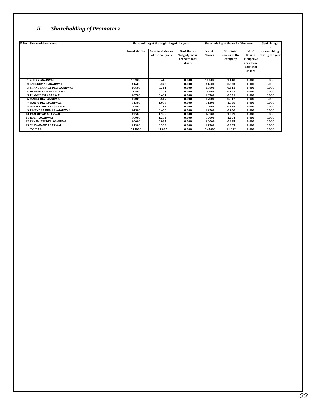# *ii. Shareholding of Promoters*

|  |                                   |               |                                           |                |               |                                     | % of change   |                 |
|--|-----------------------------------|---------------|-------------------------------------------|----------------|---------------|-------------------------------------|---------------|-----------------|
|  | SI No. Shareholder's Name         |               | Shareholding at the beginning of the year |                |               | Shareholding at the end of the year |               |                 |
|  |                                   |               |                                           |                |               |                                     |               | in              |
|  |                                   | No. of Shares | % of total shares                         | % of Shares    | No. of        | % of total                          | $%$ of        | shareholding    |
|  |                                   |               | of the company                            | Pledged/encum  | <b>Shares</b> | shares of the                       | <b>Shares</b> | during the year |
|  |                                   |               |                                           | bered to total |               | company                             | Pledged/e     |                 |
|  |                                   |               |                                           | shares         |               |                                     | ncumbere      |                 |
|  |                                   |               |                                           |                |               |                                     | d to total    |                 |
|  |                                   |               |                                           |                |               |                                     | shares        |                 |
|  |                                   |               |                                           |                |               |                                     |               |                 |
|  |                                   |               |                                           |                |               |                                     |               |                 |
|  | <b>1 ABHAY AGARWAL</b>            | 107000        | 3.440                                     | 0.000          | 107000        | 3.440                               | 0.000         | 0.000           |
|  | <b>2 ANIL KUMAR AGARWAL</b>       | 11600         | 0.373                                     | 0.000          | 11600         | 0.373                               | 0.000         | 0.000           |
|  | <b>3 CHANDRAKALA DEVI AGARWAL</b> | 10600         | 0.341                                     | 0.000          | 10600         | 0.341                               | 0.000         | 0.000           |
|  | <b>4 DEEPAK KUMAR AGARWAL</b>     | 3200          | 0.103                                     | 0.000          | 3200          | 0.103                               | 0.000         | 0.000           |
|  | <b>5 LUXMI DEVI AGARWAL</b>       | 18700         | 0.601                                     | 0.000          | 18700         | 0.601                               | 0.000         | 0.000           |
|  | <b>6 MAINA DEVI AGARWAL</b>       | 17000         | 0.547                                     | 0.000          | 17000         | 0.547                               | 0.000         | 0.000           |
|  | 7 MANJU DEVI AGARWAL              | 31300         | 1.006                                     | 0.000          | 31300         | 1.006                               | 0.000         | 0.000           |
|  | <b>8 NAND KISHORE AGARWAL</b>     | 7300          | 0.235                                     | 0.000          | 7300          | 0.235                               | 0.000         | 0.000           |
|  | 9 RAJENDRA KUMAR AGARWAL          | 14500         | 0.466                                     | 0.000          | 14500         | 0.466                               | 0.000         | 0.000           |
|  | <b>10 RAMAUTAR AGARWAL</b>        | 43500         | 1.399                                     | 0.000          | 43500         | 1.399                               | 0.000         | 0.000           |
|  | <b>11 RUCHI AGARWAL</b>           | 39000         | 1.254                                     | 0.000          | 39000         | 1.254                               | 0.000         | 0.000           |
|  | <b>12 SHYAM SUNDER AGARWAL</b>    | 30000         | 0.965                                     | 0.000          | 30000         | 0.965                               | 0.000         | 0.000           |
|  | <b>13 SURYAKANT AGARWAL</b>       | 11300         | 0.363                                     | 0.000          | 11300         | 0.363                               | 0.000         | 0.000           |
|  | TOTAL                             | 345000        | 11.092                                    | 0.000          | 345000        | 11.092                              | 0.000         | 0.000           |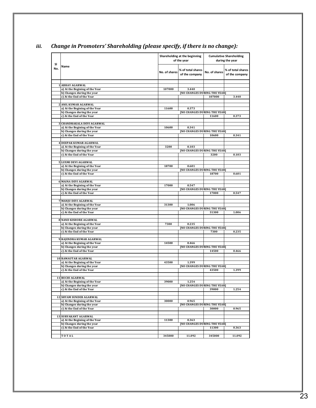| SI  |                                                         |               | Shareholding at the beginning<br>of the year |               | <b>Cumulative Shareholding</b><br>during the year |  |
|-----|---------------------------------------------------------|---------------|----------------------------------------------|---------------|---------------------------------------------------|--|
| No. | Name                                                    | No. of shares | % of total shares<br>of the company          | No. of shares | % of total shares<br>of the company               |  |
|     | <b>1 ABHAY AGARWAL</b>                                  |               |                                              |               |                                                   |  |
|     | a) At the Begining of the Year                          | 107000        | 3.440                                        |               |                                                   |  |
|     | b) Changes during the year                              |               | <b>[NO CHANGES DURING THE YEAR]</b>          |               |                                                   |  |
|     | c) At the End of the Year                               |               |                                              | 107000        | 3.440                                             |  |
|     | 2 ANIL KUMAR AGARWAL                                    |               |                                              |               |                                                   |  |
|     | a) At the Begining of the Year                          | 11600         | 0.373<br><b>[NO CHANGES DURING THE YEAR]</b> |               |                                                   |  |
|     | b) Changes during the year<br>c) At the End of the Year |               |                                              | 11600         | 0.373                                             |  |
|     |                                                         |               |                                              |               |                                                   |  |
|     | <b>3 CHANDRAKALA DEVI AGARWAL</b>                       |               |                                              |               |                                                   |  |
|     | a) At the Begining of the Year                          | 10600         | 0.341                                        |               |                                                   |  |
|     | b) Changes during the year<br>c) At the End of the Year |               | <b>[NO CHANGES DURING THE YEAR]</b>          | 10600         | 0.341                                             |  |
|     |                                                         |               |                                              |               |                                                   |  |
|     | <b>4 DEEPAK KUMAR AGARWAL</b>                           |               |                                              |               |                                                   |  |
|     | a) At the Begining of the Year                          | 3200          | 0.103                                        |               |                                                   |  |
|     | b) Changes during the year                              |               | [NO CHANGES DURING THE YEAR]                 |               |                                                   |  |
|     | c) At the End of the Year                               |               |                                              | 3200          | 0.103                                             |  |
|     | 5 LUXMI DEVI AGARWAL                                    |               |                                              |               |                                                   |  |
|     | a) At the Begining of the Year                          | 18700         | 0.601                                        |               |                                                   |  |
|     | b) Changes during the year                              |               | <b>[NO CHANGES DURING THE YEAR]</b>          |               |                                                   |  |
|     | c) At the End of the Year                               |               |                                              | 18700         | 0.601                                             |  |
|     | <b>6 MAINA DEVI AGARWAL</b>                             |               |                                              |               |                                                   |  |
|     | a) At the Begining of the Year                          | 17000         | 0.547                                        |               |                                                   |  |
|     | b) Changes during the year                              |               | [NO CHANGES DURING THE YEAR]                 |               |                                                   |  |
|     | c) At the End of the Year                               |               |                                              | 17000         | 0.547                                             |  |
|     | 7 MANJU DEVI AGARWAL                                    |               |                                              |               |                                                   |  |
|     | a) At the Begining of the Year                          | 31300         | 1.006                                        |               |                                                   |  |
|     | b) Changes during the year                              |               | <b>[NO CHANGES DURING THE YEAR]</b>          |               |                                                   |  |
|     | c) At the End of the Year                               |               |                                              | 31300         | 1.006                                             |  |
|     | 8 NAND KISHORE AGARWAL                                  |               |                                              |               |                                                   |  |
|     | a) At the Begining of the Year                          | 7300          | 0.235                                        |               |                                                   |  |
|     | b) Changes during the year<br>c) At the End of the Year |               | <b>[NO CHANGES DURING THE YEAR]</b>          | 7300          | 0.235                                             |  |
|     |                                                         |               |                                              |               |                                                   |  |
|     | 9 RAJENDRA KUMAR AGARWAL                                |               |                                              |               |                                                   |  |
|     | a) At the Begining of the Year                          | 14500         | 0.466                                        |               |                                                   |  |
|     | b) Changes during the year<br>c) At the End of the Year |               | [NO CHANGES DURING THE YEAR]                 |               | 0.466                                             |  |
|     |                                                         |               |                                              | 14500         |                                                   |  |
|     | 10 RAMAUTAR AGARWAL                                     |               |                                              |               |                                                   |  |
|     | a) At the Begining of the Year                          | 43500         | 1.399                                        |               |                                                   |  |
|     | b) Changes during the year                              |               | <b>[NO CHANGES DURING THE YEAR]</b>          |               |                                                   |  |
|     | c) At the End of the Year                               |               |                                              | 43500         | 1.399                                             |  |
|     | <b>11 RUCHI AGARWAL</b>                                 |               |                                              |               |                                                   |  |
|     | a) At the Begining of the <b>rear</b>                   | 39000         | 1.254                                        |               |                                                   |  |
|     | b) Changes during the year                              |               | [NO CHANGES DURING THE YEAR]                 |               |                                                   |  |
|     | c) At the End of the Year                               |               |                                              | 39000         | 1.254                                             |  |
|     | <b>12 SHYAM SUNDER AGARWAL</b>                          |               |                                              |               |                                                   |  |
|     | a) At the Begining of the Year                          | 30000         | 0.965                                        |               |                                                   |  |
|     | b) Changes during the year                              |               | [NO CHANGES DURING THE YEAR]                 |               |                                                   |  |
|     | c) At the End of the Year                               |               |                                              | 30000         | 0.965                                             |  |
|     | <b>13 SURYAKANT AGARWAL</b>                             |               |                                              |               |                                                   |  |
|     | a) At the Begining of the Year                          | 11300         | 0.363                                        |               |                                                   |  |
|     | b) Changes during the year                              |               | [NO CHANGES DURING THE YEAR]                 |               |                                                   |  |
|     | c) At the End of the Year                               |               |                                              | 11300         | 0.363                                             |  |
|     |                                                         |               |                                              |               |                                                   |  |
|     | TOTAL                                                   | 345000        | 11.092                                       | 345000        | 11.092                                            |  |

# *iii. Change in Promoters' Shareholding (please specify, if there is no change):*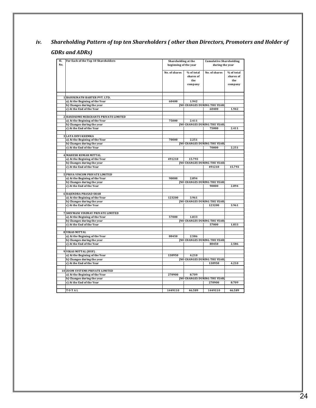# *iv. Shareholding Pattern of top ten Shareholders ( other than Directors, Promoters and Holder of GDRs and ADRs)*

| SI. | For Each of the Top 10 Shareholders<br>Shareholding at the   |                       | <b>Cumulative Shareholding</b> |                                     |            |
|-----|--------------------------------------------------------------|-----------------------|--------------------------------|-------------------------------------|------------|
| No. |                                                              | beginning of the year |                                | during the year                     |            |
|     |                                                              |                       |                                |                                     |            |
|     |                                                              | No. of shares         | % of total                     | No. of shares                       | % of total |
|     |                                                              |                       | shares of                      |                                     | shares of  |
|     |                                                              |                       | the                            |                                     | the        |
|     |                                                              |                       | company                        |                                     | company    |
|     |                                                              |                       |                                |                                     |            |
|     |                                                              |                       |                                |                                     |            |
|     | <b>1 BASUKINATH BARTER PVT. LTD.</b>                         |                       |                                |                                     |            |
|     | a) At the Begining of the Year                               | 60400                 | 1.942                          |                                     |            |
|     | b) Changes during the year                                   |                       |                                | [NO CHANGES DURING THE YEAR]        |            |
|     | c) At the End of the Year                                    |                       |                                | 60400                               | 1.942      |
|     |                                                              |                       |                                |                                     |            |
|     | <b>2 HANDSOME MERCHANTS PRIVATE LIMITED</b>                  |                       |                                |                                     |            |
|     | a) At the Begining of the Year                               | 75000                 | 2.411                          | [NO CHANGES DURING THE YEAR]        |            |
|     | b) Changes during the year<br>c) At the End of the Year      |                       |                                | 75000                               | 2.411      |
|     |                                                              |                       |                                |                                     |            |
|     | <b>3 LATA DEVI KHEMKA</b>                                    |                       |                                |                                     |            |
|     | a) At the Begining of the Year                               | 70000                 | 2.251                          |                                     |            |
|     | b) Changes during the year                                   |                       |                                | <b>[NO CHANGES DURING THE YEAR]</b> |            |
|     | c) At the End of the Year                                    |                       |                                | 70000                               | 2.251      |
|     |                                                              |                       |                                |                                     |            |
|     | <b>4 MAHESH KUMAR MITTAL</b>                                 |                       |                                |                                     |            |
|     | a) At the Begining of the Year                               | 491210                | 15.793                         |                                     |            |
|     | b) Changes during the year                                   |                       |                                | <b>[NO CHANGES DURING THE YEAR]</b> |            |
|     | c) At the End of the Year                                    |                       |                                | 491210                              | 15.793     |
|     |                                                              |                       |                                |                                     |            |
|     | <b>5 PRIYA VINCOM PRIVATE LIMITED</b>                        |                       |                                |                                     |            |
|     | a) At the Begining of the Year                               | 90000                 | 2.894                          |                                     |            |
|     | b) Changes during the year                                   |                       |                                | <b>[NO CHANGES DURING THE YEAR]</b> |            |
|     | c) At the End of the Year                                    |                       |                                | 90000                               | 2.894      |
|     |                                                              |                       |                                |                                     |            |
|     | <b>6 RAJENDRA PRASAD SHAH</b>                                |                       |                                |                                     |            |
|     | a) At the Begining of the Year                               | 123200                | 3.961                          | <b>[NO CHANGES DURING THE YEAR]</b> |            |
|     | b) Changes during the year<br>c) At the End of the Year      |                       |                                | 123200                              | 3.961      |
|     |                                                              |                       |                                |                                     |            |
|     | 7 SHIVMANI VINIMAY PRIVATE LIMITED                           |                       |                                |                                     |            |
|     | a) At the Begining of the Year                               | 57000                 | 1.833                          |                                     |            |
|     | b) Changes during the year                                   |                       |                                | [NO CHANGES DURING THE YEAR]        |            |
|     | c) At the End of the Year                                    |                       |                                | 57000                               | 1.833      |
|     |                                                              |                       |                                |                                     |            |
|     | <b>8 VIKAS MITTAL</b>                                        |                       |                                |                                     |            |
|     | a) At the Begining of the Year                               | 80450                 | 2.586                          |                                     |            |
|     | b) Changes during the year                                   |                       |                                | <b>[NO CHANGES DURING THE YEAR]</b> |            |
|     | c) At the End of the Year                                    |                       |                                | 80450                               | 2.586      |
|     |                                                              |                       |                                |                                     |            |
|     | 9 VIKAS MITTAL (HUF).                                        |                       |                                |                                     |            |
|     | a) At the Begining of the Year                               | 130950                | 4.210                          |                                     |            |
|     | b) Changes during the year                                   |                       |                                | <b>[NO CHANGES DURING THE YEAR]</b> |            |
|     | c) At the End of the Year                                    |                       |                                | 130950                              | 4.210      |
|     |                                                              |                       |                                |                                     |            |
|     | 10 ZOOM SYSTEMS PRIVATE LIMITED                              |                       |                                |                                     |            |
|     | a) At the Begining of the Year<br>b) Changes during the year | 270900                | 8.709                          | <b>[NO CHANGES DURING THE YEAR]</b> |            |
|     | c) At the End of the Year                                    |                       |                                | 270900                              | 8.709      |
|     |                                                              |                       |                                |                                     |            |
|     | TOTAL                                                        | 1449110               | 46.589                         | 1449110                             | 46.589     |
|     |                                                              |                       |                                |                                     |            |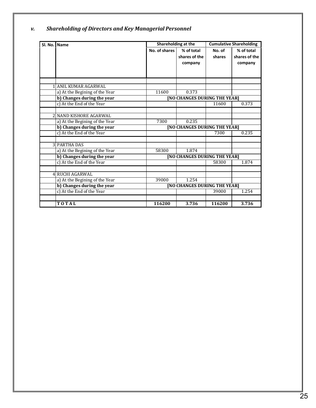| Sl. No. I Name                 | Shareholding at the |                              | <b>Cumulative Shareholding</b> |               |  |
|--------------------------------|---------------------|------------------------------|--------------------------------|---------------|--|
|                                | No. of shares       | % of total                   | No. of                         | % of total    |  |
|                                |                     | shares of the                | shares                         | shares of the |  |
|                                |                     | company                      |                                | company       |  |
|                                |                     |                              |                                |               |  |
|                                |                     |                              |                                |               |  |
|                                |                     |                              |                                |               |  |
| 1 ANIL KUMAR AGARWAL           |                     |                              |                                |               |  |
| a) At the Begining of the Year | 11600               | 0.373                        |                                |               |  |
| b) Changes during the year     |                     | [NO CHANGES DURING THE YEAR] |                                |               |  |
| c) At the End of the Year      |                     |                              | 11600                          | 0.373         |  |
| 2 NAND KISHORE AGARWAL         |                     |                              |                                |               |  |
| a) At the Begining of the Year | 7300                | 0.235                        |                                |               |  |
| b) Changes during the year     |                     | [NO CHANGES DURING THE YEAR] |                                |               |  |
| c) At the End of the Year      |                     |                              | 7300                           | 0.235         |  |
| <b>3 PARTHA DAS</b>            |                     |                              |                                |               |  |
| a) At the Begining of the Year | 58300               | 1.874                        |                                |               |  |
| b) Changes during the year     |                     | [NO CHANGES DURING THE YEAR] |                                |               |  |
| c) At the End of the Year      |                     |                              | 58300                          | 1.874         |  |
| 4 RUCHI AGARWAL                |                     |                              |                                |               |  |
| a) At the Begining of the Year | 39000               | 1.254                        |                                |               |  |
| b) Changes during the year     |                     | [NO CHANGES DURING THE YEAR] |                                |               |  |
| c) At the End of the Year      |                     |                              | 39000                          | 1.254         |  |
|                                |                     |                              |                                |               |  |
| TOTAL                          | 116200              | 3.736                        | 116200                         | 3.736         |  |

# *v. Shareholding of Directors and Key Managerial Personnel*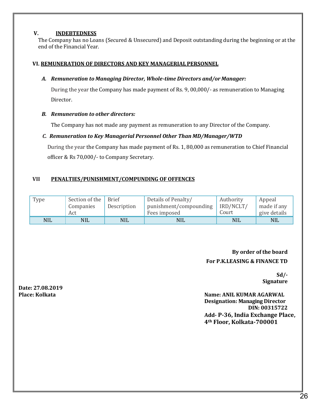#### **V. INDEBTEDNESS**

The Company has no Loans (Secured & Unsecured) and Deposit outstanding during the beginning or at the end of the Financial Year.

## **VI. REMUNERATION OF DIRECTORS AND KEY MANAGERIAL PERSONNEL**

#### *A. Remuneration to Managing Director, Whole-time Directors and/or Manager:*

During the year the Company has made payment of Rs. 9, 00,000/- as remuneration to Managing Director.

## *B. Remuneration to other directors:*

The Company has not made any payment as remuneration to any Director of the Company.

## *C. Remuneration to Key Managerial Personnel Other Than MD/Manager/WTD*

During the year the Company has made payment of Rs. 1, 80,000 as remuneration to Chief Financial officer & Rs 70,000/- to Company Secretary.

## **VII PENALTIES/PUNISHMENT/COMPUNDING OF OFFENCES**

| Type       | Section of the<br>Companies<br>Act | Brief<br>Description | Details of Penalty/<br>punishment/compounding<br>Fees imposed | Authority<br>IRD/NCLT/<br>Court | Appeal<br>made if any<br>give details |
|------------|------------------------------------|----------------------|---------------------------------------------------------------|---------------------------------|---------------------------------------|
| <b>NIL</b> | NIL                                | <b>NIL</b>           | <b>NIL</b>                                                    | <b>NIL</b>                      | <b>NIL</b>                            |

# **By order of the board For P.K.LEASING & FINANCE TD**

**Sd/- Signature**

**Place: Kolkata Name: ANIL KUMAR AGARWAL Place: Kolkata Designation: Managing Director DIN: 00315722 Add- P-36, India Exchange Place, 4th Floor, Kolkata-700001**

**Date: 27.08.2019**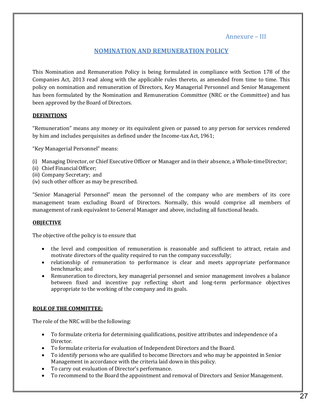# Annexure – III

# **NOMINATION AND REMUNERATION POLICY**

This Nomination and Remuneration Policy is being formulated in compliance with Section 178 of the Companies Act, 2013 read along with the applicable rules thereto, as amended from time to time. This policy on nomination and remuneration of Directors, Key Managerial Personnel and Senior Management has been formulated by the Nomination and Remuneration Committee (NRC or the Committee) and has been approved by the Board of Directors.

## **DEFINITIONS**

"Remuneration" means any money or its equivalent given or passed to any person for services rendered by him and includes perquisites as defined under the Income-tax Act, 1961;

"Key Managerial Personnel" means:

- (i) Managing Director, or Chief Executive Officer or Manager and in their absence, a Whole-timeDirector;
- (ii) Chief Financial Officer;
- (iii) Company Secretary; and
- (iv) such other officer as may be prescribed.

"Senior Managerial Personnel" mean the personnel of the company who are members of its core management team excluding Board of Directors. Normally, this would comprise all members of management of rank equivalent to General Manager and above, including all functional heads.

## **OBJECTIVE**

The objective of the policy is to ensure that

- the level and composition of remuneration is reasonable and sufficient to attract, retain and motivate directors of the quality required to run the company successfully;
- relationship of remuneration to performance is clear and meets appropriate performance benchmarks; and
- Remuneration to directors, key managerial personnel and senior management involves a balance between fixed and incentive pay reflecting short and long-term performance objectives appropriate to the working of the company and its goals.

# **ROLE OF THE COMMITTEE:**

The role of the NRC will be the following:

- To formulate criteria for determining qualifications, positive attributes and independence of a Director.
- To formulate criteria for evaluation of Independent Directors and the Board.
- To identify persons who are qualified to become Directors and who may be appointed in Senior Management in accordance with the criteria laid down in this policy.
- To carry out evaluation of Director's performance.
- To recommend to the Board the appointment and removal of Directors and Senior Management.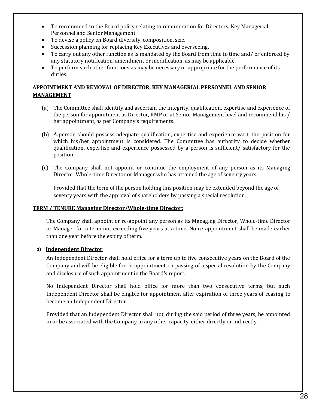- To recommend to the Board policy relating to remuneration for Directors, Key Managerial Personnel and Senior Management.
- To devise a policy on Board diversity, composition, size.
- Succession planning for replacing Key Executives and overseeing.
- To carry out any other function as is mandated by the Board from time to time and/ or enforced by any statutory notification, amendment or modification, as may be applicable.
- To perform such other functions as may be necessary or appropriate for the performance of its duties.

# **APPOINTMENT AND REMOVAL OF DIRECTOR, KEY MANAGERIAL PERSONNEL AND SENIOR MANAGEMENT**

- (a) The Committee shall identify and ascertain the integrity, qualification, expertise and experience of the person for appointment as Director, KMP or at Senior Management level and recommend his / her appointment, as per Company's requirements.
- (b) A person should possess adequate qualification, expertise and experience w.r.t. the position for which his/her appointment is considered. The Committee has authority to decide whether qualification, expertise and experience possessed by a person is sufficient/ satisfactory for the position.
- (c) The Company shall not appoint or continue the employment of any person as its Managing Director, Whole-time Director or Manager who has attained the age of seventy years.

Provided that the term of the person holding this position may be extended beyond the age of seventy years with the approval of shareholders by passing a special resolution.

## **TERM / TENURE Managing Director/Whole-time Director:**

The Company shall appoint or re-appoint any person as its Managing Director, Whole-time Director or Manager for a term not exceeding five years at a time. No re-appointment shall be made earlier than one year before the expiry of term.

# a) **Independent Director**

An Independent Director shall hold office for a term up to five consecutive years on the Board of the Company and will be eligible for re-appointment on passing of a special resolution by the Company and disclosure of such appointment in the Board's report.

No Independent Director shall hold office for more than two consecutive terms, but such Independent Director shall be eligible for appointment after expiration of three years of ceasing to become an Independent Director.

Provided that an Independent Director shall not, during the said period of three years, be appointed in or be associated with the Company in any other capacity, either directly or indirectly.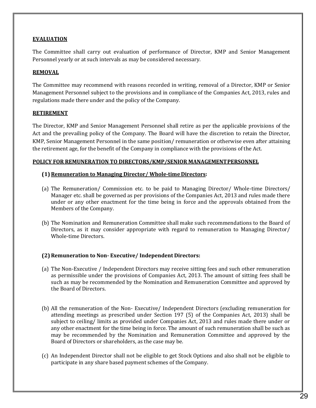## **EVALUATION**

The Committee shall carry out evaluation of performance of Director, KMP and Senior Management Personnel yearly or at such intervals as may be considered necessary.

## **REMOVAL**

The Committee may recommend with reasons recorded in writing, removal of a Director, KMP or Senior Management Personnel subject to the provisions and in compliance of the Companies Act, 2013, rules and regulations made there under and the policy of the Company.

## **RETIREMENT**

The Director, KMP and Senior Management Personnel shall retire as per the applicable provisions of the Act and the prevailing policy of the Company. The Board will have the discretion to retain the Director, KMP, Senior Management Personnel in the same position/ remuneration or otherwise even after attaining the retirement age, for the benefit of the Company in compliance with the provisions of the Act.

## **POLICY FOR REMUNERATION TO DIRECTORS/KMP/SENIOR MANAGEMENTPERSONNEL**

## **(1)Remuneration to Managing Director/ Whole-time Directors:**

- (a) The Remuneration/ Commission etc. to be paid to Managing Director/ Whole-time Directors/ Manager etc. shall be governed as per provisions of the Companies Act, 2013 and rules made there under or any other enactment for the time being in force and the approvals obtained from the Members of the Company.
- (b) The Nomination and Remuneration Committee shall make such recommendations to the Board of Directors, as it may consider appropriate with regard to remuneration to Managing Director/ Whole-time Directors.

## **(2)Remuneration to Non- Executive/ Independent Directors:**

- (a) The Non-Executive / Independent Directors may receive sitting fees and such other remuneration as permissible under the provisions of Companies Act, 2013. The amount of sitting fees shall be such as may be recommended by the Nomination and Remuneration Committee and approved by the Board of Directors.
- (b) All the remuneration of the Non- Executive/ Independent Directors (excluding remuneration for attending meetings as prescribed under Section 197 (5) of the Companies Act, 2013) shall be subject to ceiling/ limits as provided under Companies Act, 2013 and rules made there under or any other enactment for the time being in force. The amount of such remuneration shall be such as may be recommended by the Nomination and Remuneration Committee and approved by the Board of Directors or shareholders, as the case may be.
- (c) An Independent Director shall not be eligible to get Stock Options and also shall not be eligible to participate in any share based payment schemes of the Company.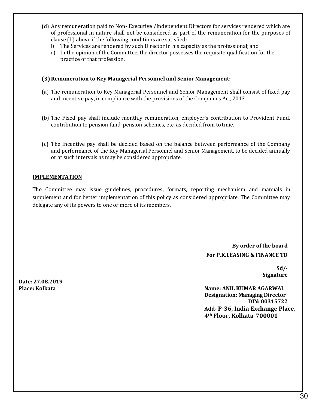- (d) Any remuneration paid to Non- Executive /Independent Directors for services rendered which are of professional in nature shall not be considered as part of the remuneration for the purposes of clause (b) above if the following conditions are satisfied:
	- i) The Services are rendered by such Director in his capacity as the professional; and
	- ii) In the opinion of the Committee, the director possesses the requisite qualification for the practice of that profession.

#### **(3)Remuneration to Key Managerial Personnel and Senior Management:**

- (a) The remuneration to Key Managerial Personnel and Senior Management shall consist of fixed pay and incentive pay, in compliance with the provisions of the Companies Act, 2013.
- (b) The Fixed pay shall include monthly remuneration, employer's contribution to Provident Fund, contribution to pension fund, pension schemes, etc. as decided from to time.
- (c) The Incentive pay shall be decided based on the balance between performance of the Company and performance of the Key Managerial Personnel and Senior Management, to be decided annually or at such intervals as may be considered appropriate.

#### **IMPLEMENTATION**

The Committee may issue guidelines, procedures, formats, reporting mechanism and manuals in supplement and for better implementation of this policy as considered appropriate. The Committee may delegate any of its powers to one or more of its members.

> **By order of the board For P.K.LEASING & FINANCE TD**

> > **Sd/- Signature**

**Date: 27.08.2019**

**Place: Kolkata Name: ANIL KUMAR AGARWAL Designation: Managing Director DIN: 00315722 Add- P-36, India Exchange Place, 4th Floor, Kolkata-700001**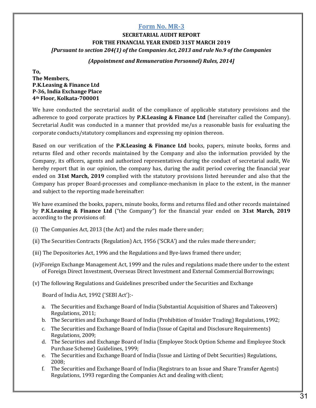# **Form No. MR-3**

# **SECRETARIAL AUDIT REPORT FOR THE FINANCIAL YEAR ENDED 31ST MARCH 2019** *[Pursuant to section 204(1) of the Companies Act, 2013 and rule No.9 of the Companies*

# *(Appointment and Remuneration Personnel) Rules, 2014]*

**To, The Members, P.K.Leasing & Finance Ltd P-36, India Exchange Place 4th Floor, Kolkata-700001**

We have conducted the secretarial audit of the compliance of applicable statutory provisions and the adherence to good corporate practices by **P.K.Leasing & Finance Ltd** (hereinafter called the Company). Secretarial Audit was conducted in a manner that provided me/us a reasonable basis for evaluating the corporate conducts/statutory compliances and expressing my opinion thereon.

Based on our verification of the **P.K.Leasing & Finance Ltd** books, papers, minute books, forms and returns filed and other records maintained by the Company and also the information provided by the Company, its officers, agents and authorized representatives during the conduct of secretarial audit, We hereby report that in our opinion, the company has, during the audit period covering the financial year ended on **31st March, 2019** complied with the statutory provisions listed hereunder and also that the Company has proper Board-processes and compliance-mechanism in place to the extent, in the manner and subject to the reporting made hereinafter:

We have examined the books, papers, minute books, forms and returns filed and other records maintained by **P.K.Leasing & Finance Ltd** ("the Company") for the financial year ended on **31st March, 2019**  according to the provisions of:

- (i) The Companies Act, 2013 (the Act) and the rules made there under;
- (ii) The Securities Contracts (Regulation) Act, 1956 ('SCRA') and the rules made there under;
- (iii) The Depositories Act, 1996 and the Regulations and Bye-laws framed there under;
- (iv)Foreign Exchange Management Act, 1999 and the rules and regulations made there under to the extent of Foreign Direct Investment, Overseas Direct Investment and External Commercial Borrowings;
- (v) The following Regulations and Guidelines prescribed under the Securities and Exchange

Board of India Act, 1992 ('SEBI Act'):-

- a. The Securities and Exchange Board of India (Substantial Acquisition of Shares and Takeovers) Regulations, 2011;
- b. The Securities and Exchange Board of India (Prohibition of Insider Trading) Regulations,1992;
- c. The Securities and Exchange Board of India (Issue of Capital and Disclosure Requirements) Regulations, 2009;
- d. The Securities and Exchange Board of India (Employee Stock Option Scheme and Employee Stock Purchase Scheme) Guidelines, 1999;
- e. The Securities and Exchange Board of India (Issue and Listing of Debt Securities) Regulations, 2008;
- f. The Securities and Exchange Board of India (Registrars to an Issue and Share Transfer Agents) Regulations, 1993 regarding the Companies Act and dealing with client;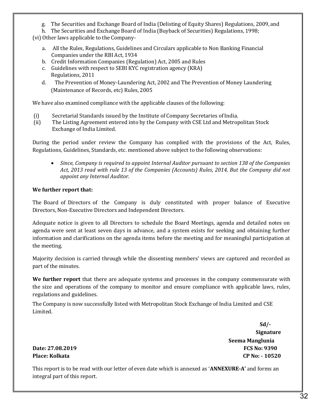- g. The Securities and Exchange Board of India (Delisting of Equity Shares) Regulations, 2009, and
- h. The Securities and Exchange Board of India (Buyback of Securities) Regulations, 1998;

(vi) Other laws applicable to the Company-

- a. All the Rules, Regulations, Guidelines and Circulars applicable to Non Banking Financial Companies under the RBI Act, 1934
- b. Credit Information Companies (Regulation) Act, 2005 and Rules
- c. Guidelines with respect to SEBI KYC registration agency (KRA) Regulations, 2011
- d. The Prevention of Money-Laundering Act, 2002 and The Prevention of Money Laundering (Maintenance of Records, etc) Rules, 2005

We have also examined compliance with the applicable clauses of the following:

- (i) Secretarial Standards issued by the Institute of Company Secretaries of India.
- (ii) The Listing Agreement entered into by the Company with CSE Ltd and Metropolitan Stock Exchange of India Limited.

During the period under review the Company has complied with the provisions of the Act, Rules, Regulations, Guidelines, Standards, etc. mentioned above subject to the following observations:

 *Since, Company is required to appoint Internal Auditor pursuant to section 138 of the Companies Act, 2013 read with rule 13 of the Companies (Accounts) Rules, 2014, But the Company did not appoint any Internal Auditor.*

# **We further report that:**

The Board of Directors of the Company is duly constituted with proper balance of Executive Directors, Non-Executive Directors and Independent Directors.

Adequate notice is given to all Directors to schedule the Board Meetings, agenda and detailed notes on agenda were sent at least seven days in advance, and a system exists for seeking and obtaining further information and clarifications on the agenda items before the meeting and for meaningful participation at the meeting.

Majority decision is carried through while the dissenting members' views are captured and recorded as part of the minutes.

**We further report** that there are adequate systems and processes in the company commensurate with the size and operations of the company to monitor and ensure compliance with applicable laws, rules, regulations and guidelines.

The Company is now successfully listed with Metropolitan Stock Exchange of India Limited and CSE Limited.

**Sd/- Signature Seema Manglunia Date: 27.08.2019 FCS No: 9390 Place: Kolkata CP No: - 10520**

This report is to be read with our letter of even date which is annexed as '**ANNEXURE-A'** and forms an integral part of this report.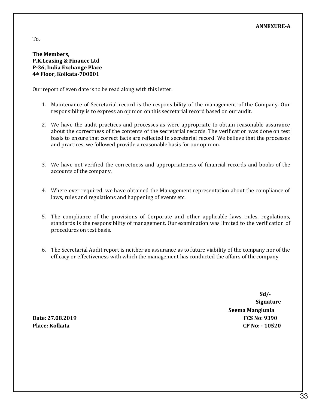**ANNEXURE-A**

To,

**The Members, P.K.Leasing & Finance Ltd P-36, India Exchange Place 4th Floor, Kolkata-700001**

Our report of even date is to be read along with this letter.

- 1. Maintenance of Secretarial record is the responsibility of the management of the Company. Our responsibility is to express an opinion on this secretarial record based on our audit.
- 2. We have the audit practices and processes as were appropriate to obtain reasonable assurance about the correctness of the contents of the secretarial records. The verification was done on test basis to ensure that correct facts are reflected in secretarial record. We believe that the processes and practices, we followed provide a reasonable basis for our opinion.
- 3. We have not verified the correctness and appropriateness of financial records and books of the accounts of the company.
- 4. Where ever required, we have obtained the Management representation about the compliance of laws, rules and regulations and happening of events etc.
- 5. The compliance of the provisions of Corporate and other applicable laws, rules, regulations, standards is the responsibility of management. Our examination was limited to the verification of procedures on test basis.
- 6. The Secretarial Audit report is neither an assurance as to future viability of the company nor of the efficacy or effectiveness with which the management has conducted the affairs of the company

**Sd/- Signature Seema Manglunia Date: 27.08.2019 FCS No: 9390 Place: Kolkata CP No: - 10520**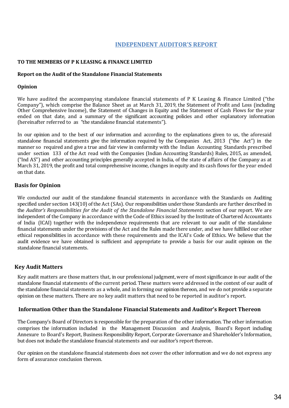# **INDEPENDENT AUDITOR'S REPORT**

#### **TO THE MEMBERS OF P K LEASING & FINANCE LIMITED**

#### **Report on the Audit of the Standalone Financial Statements**

#### **Opinion**

We have audited the accompanying standalone financial statements of P K Leasing & Finance Limited ("the Company"), which comprise the Balance Sheet as at March 31, 2019, the Statement of Profit and Loss (including Other Comprehensive Income), the Statement of Changes in Equity and the Statement of Cash Flows for the year ended on that date, and a summary of the significant accounting policies and other explanatory information (hereinafter referred to as "the standalone financial statements").

In our opinion and to the best of our information and according to the explanations given to us, the aforesaid standalone financial statements give the information required by the Companies Act, 2013 ("the Act") in the manner so required and give a true and fair view in conformity with the Indian Accounting Standards prescribed under section 133 of the Act read with the Companies (Indian Accounting Standards) Rules, 2015, as amended, ("Ind AS") and other accounting principles generally accepted in India, of the state of affairs of the Company as at March 31, 2019, the profit and total comprehensive income, changes in equity and its cash flows for the year ended on that date.

#### **Basis for Opinion**

We conducted our audit of the standalone financial statements in accordance with the Standards on Auditing specified under section 143(10) of the Act (SAs). Our responsibilities under those Standards are further described in the *Auditor's Responsibilities for the Audit of the Standalone Financial Statements* section of our report. We are independent of the Company in accordance with the Code of Ethics issued by the Institute of Chartered Accountants of India (ICAI) together with the independence requirements that are relevant to our audit of the standalone financial statements under the provisions of the Act and the Rules made there under, and we have fulfilled our other ethical responsibilities in accordance with these requirements and the ICAI's Code of Ethics. We believe that the audit evidence we have obtained is sufficient and appropriate to provide a basis for our audit opinion on the standalone financial statements.

#### **Key Audit Matters**

Key audit matters are those matters that, in our professional judgment, were of most significance in our audit of the standalone financial statements of the current period. These matters were addressed in the context of our audit of the standalone financial statements as a whole, and in forming our opinion thereon, and we do not provide a separate opinion on these matters. There are no key audit matters that need to be reported in auditor's report.

#### **Information Other than the Standalone Financial Statements and Auditor's Report Thereon**

The Company's Board of Directors is responsible for the preparation of the other information. The other information comprises the information included in the Management Discussion and Analysis, Board's Report including Annexure to Board's Report, Business Responsibility Report, Corporate Governance and Shareholder's Information, but does not include the standalone financial statements and our auditor's reportthereon.

Our opinion on the standalone financial statements does not cover the other information and we do not express any form of assurance conclusion thereon.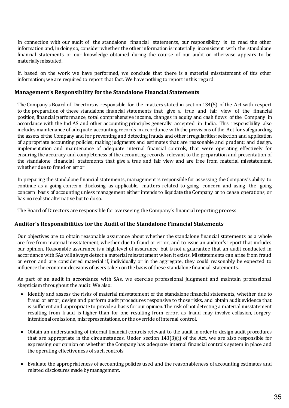In connection with our audit of the standalone financial statements, our responsibility is to read the other information and, in doing so, consider whether the other information is materially inconsistent with the standalone financial statements or our knowledge obtained during the course of our audit or otherwise appears to be materiallymisstated.

If, based on the work we have performed, we conclude that there is a material misstatement of this other information; we are required to report that fact. We have nothing to report in this regard.

# **Management's Responsibility for the Standalone Financial Statements**

The Company's Board of Directors is responsible for the matters stated in section 134(5) of the Act with respect to the preparation of these standalone financial statements that give a true and fair view of the financial position, financial performance, total comprehensive income, changes in equity and cash flows of the Company in accordance with the Ind AS and other accounting principles generally accepted in India. This responsibility also includes maintenance of adequate accounting records in accordance with the provisions of the Act for safeguarding the assets of the Company and for preventing and detecting frauds and other irregularities; selection and application of appropriate accounting policies; making judgments and estimates that are reasonable and prudent; and design, implementation and maintenance of adequate internal financial controls, that were operating effectively for ensuring the accuracy and completeness of the accounting records, relevant to the preparation and presentation of the standalone financial statements that give a true and fair view and are free from material misstatement, whether due to fraud or error.

In preparing the standalone financial statements, management is responsible for assessing the Company's ability to continue as a going concern, disclosing, as applicable, matters related to going concern and using the going concern basis of accounting unless management either intends to liquidate the Company or to cease operations, or has no realistic alternative but to doso.

The Board of Directors are responsible for overseeing the Company's financial reporting process.

# **Auditor's Responsibilities for the Audit of the Standalone Financial Statements**

Our objectives are to obtain reasonable assurance about whether the standalone financial statements as a whole are free from material misstatement, whether due to fraud or error, and to issue an auditor's report that includes our opinion. Reasonable assurance is a high level of assurance, but is not a guarantee that an audit conducted in accordance with SAs will always detect a material misstatement when it exists. Misstatements can arise from fraud or error and are considered material if, individually or in the aggregate, they could reasonably be expected to influence the economic decisions of users taken on the basis of these standalone financial statements.

As part of an audit in accordance with SAs, we exercise professional judgment and maintain professional skepticism throughout the audit. We also:

- Identify and assess the risks of material misstatement of the standalone financial statements, whether due to fraud or error, design and perform audit procedures responsive to those risks, and obtain audit evidence that is sufficient and appropriate to provide a basis for our opinion. The risk of not detecting a material misstatement resulting from fraud is higher than for one resulting from error, as fraud may involve collusion, forgery, intentional omissions, misrepresentations, or the override of internal control.
- Obtain an understanding of internal financial controls relevant to the audit in order to design audit procedures that are appropriate in the circumstances. Under section 143(3)(i) of the Act, we are also responsible for expressing our opinion on whether the Company has adequate internal financial controls system in place and the operating effectiveness of such controls.
- Evaluate the appropriateness of accounting policies used and the reasonableness of accounting estimates and related disclosures made bymanagement.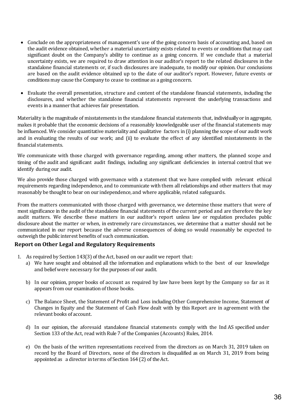- Conclude on the appropriateness of management's use of the going concern basis of accounting and, based on the audit evidence obtained, whether a material uncertainty exists related to events or conditions that may cast significant doubt on the Company's ability to continue as a going concern. If we conclude that a material uncertainty exists, we are required to draw attention in our auditor's report to the related disclosures in the standalone financial statements or, if such disclosures are inadequate, to modify our opinion. Our conclusions are based on the audit evidence obtained up to the date of our auditor's report. However, future events or conditions may cause the Company to cease to continue as a going concern.
- Evaluate the overall presentation, structure and content of the standalone financial statements, including the disclosures, and whether the standalone financial statements represent the underlying transactions and events in a manner that achieves fair presentation.

Materiality is the magnitude of misstatements in the standalone financial statements that, individually or in aggregate, makes it probable that the economic decisions of a reasonably knowledgeable user of the financial statements may be influenced. We consider quantitative materiality and qualitative factors in (i) planning the scope of our audit work and in evaluating the results of our work; and (ii) to evaluate the effect of any identified misstatements in the financial statements.

We communicate with those charged with governance regarding, among other matters, the planned scope and timing of the audit and significant audit findings, including any significant deficiencies in internal control that we identify during our audit.

We also provide those charged with governance with a statement that we have complied with relevant ethical requirements regarding independence, and to communicate with them all relationships and other matters that may reasonably be thought to bear on our independence, and where applicable, related safeguards.

From the matters communicated with those charged with governance, we determine those matters that were of most significance in the audit of the standalone financial statements of the current period and are therefore the key audit matters. We describe these matters in our auditor's report unless law or regulation precludes public disclosure about the matter or when, in extremely rare circumstances, we determine that a matter should not be communicated in our report because the adverse consequences of doing so would reasonably be expected to outweigh the public interest benefits of such communication.

# **Report on Other Legal and Regulatory Requirements**

- 1. As required by Section 143(3) of the Act, based on our audit we report that:
	- a) We have sought and obtained all the information and explanations which to the best of our knowledge and belief were necessary for the purposes of our audit.
	- b) In our opinion, proper books of account as required by law have been kept by the Company so far as it appears from our examination of those books.
	- c) The Balance Sheet, the Statement of Profit and Loss including Other Comprehensive Income, Statement of Changes in Equity and the Statement of Cash Flow dealt with by this Report are in agreement with the relevant books of account.
	- d) In our opinion, the aforesaid standalone financial statements comply with the Ind AS specified under Section 133 of the Act, read with Rule 7 of the Companies (Accounts) Rules, 2014.
	- e) On the basis of the written representations received from the directors as on March 31, 2019 taken on record by the Board of Directors, none of the directors is disqualified as on March 31, 2019 from being appointed as a director in terms of Section 164 (2) of theAct.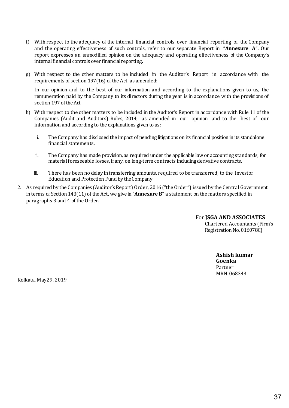- f) With respect to the adequacy of the internal financial controls over financial reporting of the Company and the operating effectiveness of such controls, refer to our separate Report in **"Annexure A**". Our report expresses an unmodified opinion on the adequacy and operating effectiveness of the Company's internal financial controls over financialreporting.
- g) With respect to the other matters to be included in the Auditor's Report in accordance with the requirements of section 197(16) of the Act, as amended:

In our opinion and to the best of our information and according to the explanations given to us, the remuneration paid by the Company to its directors during the year is in accordance with the provisions of section 197 of the Act.

- h) With respect to the other matters to be included in the Auditor's Report in accordance with Rule 11 of the Companies (Audit and Auditors) Rules, 2014, as amended in our opinion and to the best of our information and according to the explanations given tous:
	- i. The Company has disclosed the impact of pending litigations on its financial position in its standalone financial statements.
	- ii. The Company has made provision, as required under the applicable law or accounting standards, for material foreseeable losses, if any, on long-term contracts including derivative contracts.
	- iii. There has been no delay in transferring amounts, required to be transferred, to the Investor Education and Protection Fund by theCompany.
- 2. As required by the Companies (Auditor's Report) Order, 2016 ("the Order") issued by the Central Government in terms of Section 143(11) of the Act, we give in "**Annexure B**" a statement on the matters specified in paragraphs 3 and 4 of the Order.

For **JSGA AND ASSOCIATES** Chartered Accountants (Firm's Registration No. 016078C)

> **Ashish kumar Goenka**  Partner MRN-068343

Kolkata, May29, 2019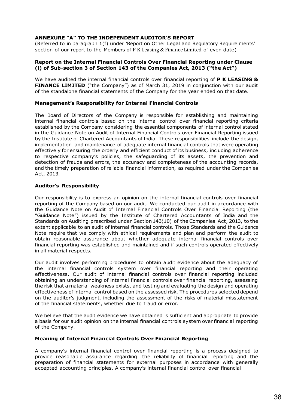## **ANNEXURE "A" TO THE INDEPENDENT AUDITOR'S REPORT**

(Referred to in paragraph 1(f) under 'Report on Other Legal and Regulatory Require ments' section of our report to the Members of P K Leasing & Finance Limited of even date)

#### **Report on the Internal Financial Controls Over Financial Reporting under Clause (i) of Sub-section 3 of Section 143 of the Companies Act, 2013 ("the Act")**

We have audited the internal financial controls over financial reporting of **P K LEASING & FINANCE LIMITED** ("the Company") as of March 31, 2019 in conjunction with our audit of the standalone financial statements of the Company for the year ended on that date.

#### **Management's Responsibility for Internal Financial Controls**

The Board of Directors of the Company is responsible for establishing and maintaining internal financial controls based on the internal control over financial reporting criteria established by the Company considering the essential components of internal control stated in the Guidance Note on Audit of Internal Financial Controls over Financial Reporting issued by the Institute of Chartered Accountants of India. These responsibilities include the design, implementation and maintenance of adequate internal financial controls that were operating effectively for ensuring the orderly and efficient conduct of its business, including adherence to respective company's policies, the safeguarding of its assets, the prevention and detection of frauds and errors, the accuracy and completeness of the accounting records, and the timely preparation of reliable financial information, as required under the Companies Act, 2013.

#### **Auditor's Responsibility**

Our responsibility is to express an opinion on the internal financial controls over financial reporting of the Company based on our audit. We conducted our audit in accordance with the Guidance Note on Audit of Internal Financial Controls Over Financial Reporting (the "Guidance Note") issued by the Institute of Chartered Accountants of India and the Standards on Auditing prescribed under Section143(10) of the Companies Act, 2013, to the extent applicable to an audit of internal financial controls. Those Standards and the Guidance Note require that we comply with ethical requirements and plan and perform the audit to obtain reasonable assurance about whether adequate internal financial controls over financial reporting was established and maintained and if such controls operated effectively in all material respects.

Our audit involves performing procedures to obtain audit evidence about the adequacy of the internal financial controls system over financial reporting and their operating effectiveness. Our audit of internal financial controls over financial reporting included obtaining an understanding of internal financial controls over financial reporting, assessing the risk that a material weakness exists, and testing and evaluating the design and operating effectiveness of internal control based on the assessed risk. The procedures selected depend on the auditor's judgment, including the assessment of the risks of material misstatement of the financial statements, whether due to fraud or error.

We believe that the audit evidence we have obtained is sufficient and appropriate to provide a basis for our audit opinion on the internal financial controls system over financial reporting of the Company.

#### **Meaning of Internal Financial Controls Over Financial Reporting**

A company's internal financial control over financial reporting is a process designed to provide reasonable assurance regarding the reliability of financial reporting and the preparation of financial statements for external purposes in accordance with generally accepted accounting principles. A company's internal financial control over financial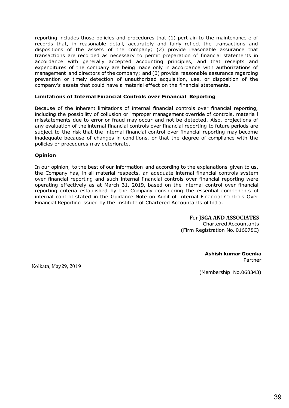reporting includes those policies and procedures that (1) pert ain to the maintenance e of records that, in reasonable detail, accurately and fairly reflect the transactions and dispositions of the assets of the company; (2) provide reasonable assurance that transactions are recorded as necessary to permit preparation of financial statements in accordance with generally accepted accounting principles, and that receipts and expenditures of the company are being made only in accordance with authorizations of management and directors of the company; and (3) provide reasonable assurance regarding prevention or timely detection of unauthorized acquisition, use, or disposition of the company's assets that could have a material effect on the financial statements.

#### **Limitations of Internal Financial Controls over Financial Reporting**

Because of the inherent limitations of internal financial controls over financial reporting, including the possibility of collusion or improper management override of controls, materia l misstatements due to error or fraud may occur and not be detected. Also, projections of any evaluation of the internal financial controls over financial reporting to future periods are subject to the risk that the internal financial control over financial reporting may become inadequate because of changes in conditions, or that the degree of compliance with the policies or procedures may deteriorate.

#### **Opinion**

In our opinion, to the best of our information and according to the explanations given to us, the Company has, in all material respects, an adequate internal financial controls system over financial reporting and such internal financial controls over financial reporting were operating effectively as at March 31, 2019, based on the internal control over financial reporting criteria established by the Company considering the essential components of internal control stated in the Guidance Note on Audit of Internal Financial Controls Over Financial Reporting issued by the Institute of Chartered Accountants of India.

#### For **JSGA AND ASSOCIATES**

Chartered Accountants (Firm Registration No. 016078C)

Kolkata, May29, 2019

**Ashish kumar Goenka**

Partner

(Membership No.068343)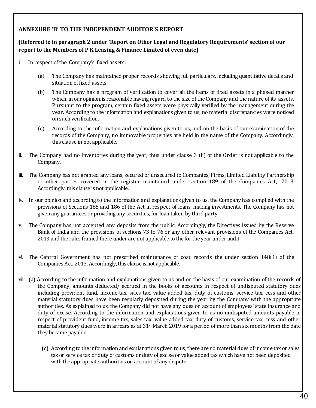# **ANNEXURE 'B' TO THE INDEPENDENT AUDITOR'S REPORT**

# **(Referred to in paragraph 2 under 'Report on Other Legal and Regulatory Requirements' section of our report to the Members of P K Leasing & Finance Limited of even date)**

- i. In respect of the Company's fixed assets:
	- (a) The Company has maintained proper records showing full particulars, including quantitative details and situation of fixed assets.
	- (b) The Company has a program of verification to cover all the items of fixed assets in a phased manner which, in our opinion, is reasonable having regard to the size of the Company and the nature of its assets. Pursuant to the program, certain fixed assets were physically verified by the management during the year. According to the information and explanations given to us, no material discrepancies were noticed on such verification.
	- (c) According to the information and explanations given to us, and on the basis of our examination of the records of the Company, no immovable properties are held in the name of the Company. Accordingly, this clause in not applicable.
- ii. The Company had no inventories during the year, thus under clause 3 (ii) of the Order is not applicable to the Company.
- iii. The Company has not granted any loans, secured or unsecured to Companies, Firms, Limited Liability Partnership or other parties covered in the register maintained under section 189 of the Companies Act, 2013. Accordingly, this clause is not applicable.
- iv. In our opinion and according to the information and explanations given to us, the Company has complied with the provisions of Sections 185 and 186 of the Act in respect of loans, making investments. The Company has not given any guarantees or providing any securities, for loan taken by third party.
- v. The Company has not accepted any deposits from the public. Accordingly, the Directives issued by the Reserve Bank of India and the provisions of sections 73 to 76 or any other relevant provisions of the Companies Act, 2013 and the rules framed there under are not applicable to the for the year under audit.
- vi. The Central Government has not prescribed maintenance of cost records the under section 148(1) of the Companies Act, 2013. Accordingly, this clause is not applicable.
- vii. (a) According to the information and explanations given to us and on the basis of our examination of the records of the Company, amounts deducted/ accrued in the books of accounts in respect of undisputed statutory dues including provident fund, income-tax, sales tax, value added tax, duty of customs, service tax, cess and other material statutory dues have been regularly deposited during the year by the Company with the appropriate authorities. As explained to us, the Company did not have any dues on account of employees' state insurance and duty of excise. According to the information and explanations given to us no undisputed amounts payable in respect of provident fund, income tax, sales tax, value added tax, duty of customs, service tax, cess and other material statutory dues were in arrears as at  $31<sup>st</sup>$  March 2019 for a period of more than six months from the date they became payable.
	- (c) According to the information and explanations given to us, there are no material dues of income tax or sales tax or service tax or duty of customs or duty of excise or value added tax which have not been deposited with the appropriate authorities on account of any dispute.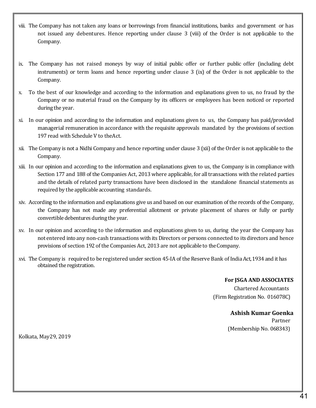- viii. The Company has not taken any loans or borrowings from financial institutions, banks and government or has not issued any debentures. Hence reporting under clause 3 (viii) of the Order is not applicable to the Company.
- ix. The Company has not raised moneys by way of initial public offer or further public offer (including debt instruments) or term loans and hence reporting under clause 3 (ix) of the Order is not applicable to the Company.
- x. To the best of our knowledge and according to the information and explanations given to us, no fraud by the Company or no material fraud on the Company by its officers or employees has been noticed or reported during the year.
- xi. In our opinion and according to the information and explanations given to us, the Company has paid/provided managerial remuneration in accordance with the requisite approvals mandated by the provisions of section 197 read with Schedule V to theAct.
- xii. The Company is not a Nidhi Company and hence reporting under clause 3 (xii) of the Order is not applicable to the Company.
- xiii. In our opinion and according to the information and explanations given to us, the Company is in compliance with Section 177 and 188 of the Companies Act, 2013 where applicable, for all transactions with the related parties and the details of related party transactions have been disclosed in the standalone financial statements as required by the applicable accounting standards.
- xiv. According to the information and explanations give us and based on our examination of the records of the Company, the Company has not made any preferential allotment or private placement of shares or fully or partly convertible debentures during the year.
- xv. In our opinion and according to the information and explanations given to us, during the year the Company has not entered into any non-cash transactions with its Directors or persons connected to its directors and hence provisions of section 192 of the Companies Act, 2013 are not applicable to theCompany.
- xvi. The Company is required to be registered under section 45-IA of the Reserve Bank of India Act,1934 and it has obtained the registration.

**For JSGA AND ASSOCIATES** Chartered Accountants (Firm Registration No. 016078C)

> **Ashish Kumar Goenka** Partner (Membership No. 068343)

Kolkata, May29, 2019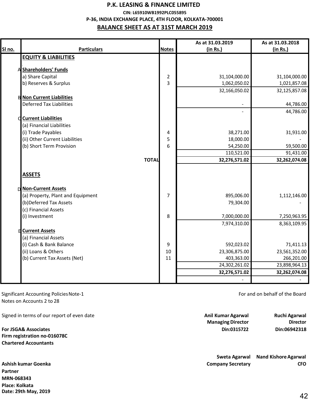# **P.K. LEASING & FINANCE LIMITED CIN: L65910WB1992PLC055895 P-36, INDIA EXCHANGE PLACE, 4TH FLOOR, KOLKATA-700001 BALANCE SHEET AS AT 31ST MARCH 2019**

| <u>SI no.</u> | <b>Particulars</b>                | <b>Notes</b>   | As at 31.03.2019<br>(in Rs.) | As at 31.03.2018<br>(in Rs.) |
|---------------|-----------------------------------|----------------|------------------------------|------------------------------|
|               |                                   |                |                              |                              |
|               | <b>EQUITY &amp; LIABILITIES</b>   |                |                              |                              |
|               | <b>Shareholders' Funds</b>        |                |                              |                              |
|               | a) Share Capital                  | $\overline{2}$ | 31,104,000.00                | 31,104,000.00                |
|               | b) Reserves & Surplus             | 3              | 1,062,050.02                 | 1,021,857.08                 |
|               |                                   |                | 32,166,050.02                | 32,125,857.08                |
|               | <b>Non Current Liabilities</b>    |                |                              |                              |
|               | <b>Deferred Tax Liabilities</b>   |                |                              | 44,786.00                    |
|               |                                   |                |                              | 44,786.00                    |
|               | <b>Current Liabilities</b>        |                |                              |                              |
|               | (a) Financial Liabilities         |                |                              |                              |
|               | (i) Trade Payables                | 4              | 38,271.00                    | 31,931.00                    |
|               | (ii) Other Current Liabilities    | 5              | 18,000.00                    |                              |
|               | (b) Short Term Provision          | 6              | 54,250.00                    | 59,500.00                    |
|               |                                   |                | 110,521.00                   | 91,431.00                    |
|               | <b>TOTAL</b>                      |                | 32,276,571.02                | 32,262,074.08                |
|               |                                   |                |                              |                              |
|               | <b>ASSETS</b>                     |                |                              |                              |
|               |                                   |                |                              |                              |
|               | <b>Non-Current Assets</b>         |                |                              |                              |
|               | (a) Property, Plant and Equipment | $\overline{7}$ | 895,006.00                   | 1,112,146.00                 |
|               | (b) Deferred Tax Assets           |                | 79,304.00                    |                              |
|               | (c) Financial Assets              |                |                              |                              |
|               | (i) Investment                    | 8              | 7,000,000.00                 | 7,250,963.95                 |
|               |                                   |                | 7,974,310.00                 | 8,363,109.95                 |
|               | <b>Current Assets</b>             |                |                              |                              |
|               | (a) Financial Assets              |                |                              |                              |
|               | (i) Cash & Bank Balance           | 9              | 592,023.02                   | 71,411.13                    |
|               | (ii) Loans & Others               | 10             | 23,306,875.00                | 23,561,352.00                |
|               | (b) Current Tax Assets (Net)      | 11             | 403,363.00                   | 266,201.00                   |
|               |                                   |                | 24,302,261.02                | 23,898,964.13                |
|               |                                   |                | 32,276,571.02                | 32,262,074.08                |
|               |                                   |                |                              |                              |

Significant Accounting PoliciesNote-1 Notes on Accounts 2 to 28

Signed in terms of our report of even date **Against 2008 Against 2008 Against 2008** 

**For JSGA& Associates Firm registration no-016078C Chartered Accountants**

**Ashish kumar Goenka Partner MRN-068343 Place: Kolkata Date: 29th May, 2019**

For and on behalf of the Board

| <b>Anil Kumar Agarwal</b> | Ruchi Agarwal   |
|---------------------------|-----------------|
| <b>Managing Director</b>  | <b>Director</b> |
| Din:0315722               | Din:06942318    |

**Sweta Agarwal Nand KishoreAgarwal Company Secretary CFO**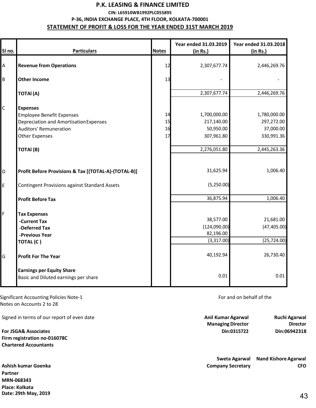#### **P.K. LEASING & FINANCE LIMITED**

## **CIN: L65910WB1992PLC055895 P-36, INDIA EXCHANGE PLACE, 4TH FLOOR, KOLKATA-700001 STATEMENT OF PROFIT & LOSS FOR THE YEAR ENDED 31ST MARCH 2019**

| SI no.       | <b>Particulars</b>                                                       | <b>Notes</b> | <b>Year ended 31.03.2019</b><br>(in Rs.) | <b>Year ended 31.03.2018</b><br>(in Rs.) |
|--------------|--------------------------------------------------------------------------|--------------|------------------------------------------|------------------------------------------|
|              |                                                                          |              |                                          |                                          |
| A            | <b>Revenue from Operations</b>                                           | 12           | 2,307,677.74                             | 2,446,269.76                             |
| B            | <b>Other Income</b>                                                      | 13           |                                          |                                          |
|              | <b>TOTAI(A)</b>                                                          |              | 2,307,677.74                             | 2,446,269.76                             |
| $\mathsf{C}$ | <b>Expenses</b>                                                          |              |                                          |                                          |
|              | <b>Employee Benefit Expenses</b>                                         | 14           | 1,700,000.00                             | 1,780,000.00                             |
|              | Depreciation and Amortisation Expenses                                   | 15           | 217,140.00                               | 297,272.00                               |
|              | <b>Auditors' Remuneration</b>                                            | 16           | 50,950.00                                | 37,000.00                                |
|              | <b>Other Expenses</b>                                                    | 17           | 307,961.80                               | 330,991.36                               |
|              | <b>TOTAI (B)</b>                                                         |              | 2,276,051.80                             | 2,445,263.36                             |
| D            | Profit Before Provisions & Tax [(TOTAL-A)-(TOTAL-B)]                     |              | 31,625.94                                | 1,006.40                                 |
| E            | <b>Contingent Provisions against Standard Assets</b>                     |              | (5,250.00)                               |                                          |
|              | <b>Profit Before Tax</b>                                                 |              | 36,875.94                                | 1,006.40                                 |
| F            | <b>Tax Expenses</b>                                                      |              |                                          |                                          |
|              | -Current Tax                                                             |              | 38,577.00                                | 21,681.00                                |
|              | -Deferred Tax                                                            |              | (124,090.00)                             | (47, 405.00)                             |
|              | -Previous Year                                                           |              | 82,196.00                                |                                          |
|              | TOTAL (C)                                                                |              | (3,317.00)                               | (25, 724.00)                             |
| G            | <b>Profit For The Year</b>                                               |              | 40,192.94                                | 26,730.40                                |
|              | <b>Earnings per Equity Share</b><br>Basic and Diluted earnings per share |              | 0.01                                     | 0.01                                     |

Significant Accounting Policies Note-1 **For and on behalf of the Significant Accounting Policies Note-1** Notes on Accounts 2 to 28

Signed in terms of our report of even date **A** 

**For JSGA& Associates Firm registration no-016078C Chartered Accountants**

**Ashish kumar Goenka Partner MRN-068343 Place: Kolkata Date: 29th May, 2019** 43

| <b>Anil Kumar Agarwal</b> | <b>Ruchi Agarwal</b> |
|---------------------------|----------------------|
| <b>Managing Director</b>  | <b>Director</b>      |
| Din:0315722               | Din:06942318         |

| Sweta Agarwal     | <b>Nand Kishore Agarwal</b> |
|-------------------|-----------------------------|
| Company Secretary | <b>CFO</b>                  |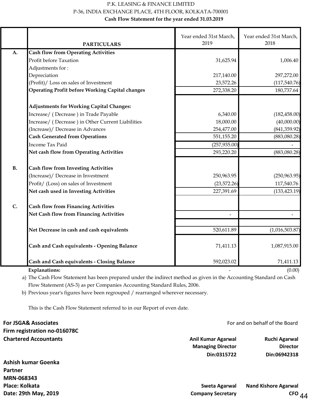# P.K. LEASING & FINANCE LIMITED P-36, INDIA EXCHANGE PLACE, 4TH FLOOR, KOLKATA-700001 **Cash Flow Statement for the year ended 31.03.2019**

|           |                                                        | Year ended 31st March, | Year ended 31st March, |
|-----------|--------------------------------------------------------|------------------------|------------------------|
|           | <b>PARTICULARS</b>                                     | 2019                   | 2018                   |
| A.        | <b>Cash flow from Operating Activities</b>             |                        |                        |
|           | Profit before Taxation                                 | 31,625.94              | 1,006.40               |
|           | Adjustments for:                                       |                        |                        |
|           | Depreciation                                           | 217,140.00             | 297,272.00             |
|           | (Profit)/ Loss on sales of Investment                  | 23,572.26              | (117,540.76)           |
|           | <b>Operating Profit before Working Capital changes</b> | 272,338.20             | 180,737.64             |
|           | <b>Adjustments for Working Capital Changes:</b>        |                        |                        |
|           | Increase/ (Decrease) in Trade Payable                  | 6,340.00               | (182, 458.00)          |
|           | Increase/ (Decrease) in Other Current Liabilities      | 18,000.00              | (40,000.00)            |
|           | (Increase)/ Decrease in Advances                       | 254,477.00             | (841, 359.92)          |
|           | <b>Cash Generated from Operations</b>                  | 551,155.20             | (883,080.28)           |
|           | <b>Income Tax Paid</b>                                 | (257, 935.00)          |                        |
|           | Net cash flow from Operating Activities                | 293,220.20             | (883,080.28)           |
| <b>B.</b> | <b>Cash flow from Investing Activities</b>             |                        |                        |
|           | (Increase)/ Decrease in Investment                     | 250,963.95             | (250, 963.95)          |
|           | Profit/ (Loss) on sales of Investment                  | (23, 572.26)           | 117,540.76             |
|           | Net cash used in Investing Activities                  | 227,391.69             | (133, 423.19)          |
| C.        | <b>Cash flow from Financing Activities</b>             |                        |                        |
|           | Net Cash flow from Financing Activities                |                        |                        |
|           | Net Decrease in cash and cash equivalents              | 520,611.89             | (1,016,503.87)         |
|           |                                                        |                        |                        |
|           | Cash and Cash equivalents - Opening Balance            | 71,411.13              | 1,087,915.00           |
|           | Cash and Cash equivalents - Closing Balance            | 592,023.02             | 71,411.13              |
|           | <b>Explanations:</b>                                   |                        | (0.00)                 |

a) The Cash Flow Statement has been prepared under the indirect method as given in the Accounting Standard on Cash Flow Statement (AS-3) as per Companies Accounting Standard Rules, 2006.

b) Previous year's figures have been regrouped / rearranged wherever necessary.

This is the Cash Flow Statement referred to in our Report of even date.

**For JSGA& Associates** For and on behalf of the Board **Firm registration no-016078C Chartered Accountants Anil Kumar Agarwal Managing Director Ruchi Agarwal Director Din:0315722 Din:06942318 Ashish kumar Goenka Partner**

**MRN-068343** Place: Kolkata *Sweta Agarwal* **Nand Kishore Agarwal**<br>
Date: 29th May, 2019 *CFO* **Date: 29th May, 2019 Company Secretary Company Secretary**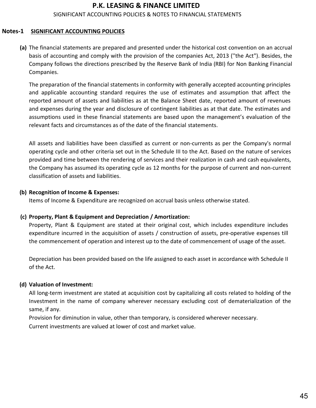# **P.K. LEASING & FINANCE LIMITED**

#### SIGNIFICANT ACCOUNTING POLICIES & NOTES TO FINANCIAL STATEMENTS

## **Notes-1 SIGNIFICANT ACCOUNTING POLICIES**

**(a)** The financial statements are prepared and presented under the historical cost convention on an accrual basis of accounting and comply with the provision of the companies Act, 2013 (''the Act"). Besides, the Company follows the directions prescribed by the Reserve Bank of India (RBI) for Non Banking Financial Companies.

The preparation of the financial statements in conformity with generally accepted accounting principles and applicable accounting standard requires the use of estimates and assumption that affect the reported amount of assets and liabilities as at the Balance Sheet date, reported amount of revenues and expenses during the year and disclosure of contingent liabilities as at that date. The estimates and assumptions used in these financial statements are based upon the management's evaluation of the relevant facts and circumstances as of the date of the financial statements.

All assets and liabilities have been classified as current or non-currents as per the Company's normal operating cycle and other criteria set out in the Schedule III to the Act. Based on the nature of services provided and time between the rendering of services and their realization in cash and cash equivalents, the Company has assumed its operating cycle as 12 months for the purpose of current and non-current classification of assets and liabilities.

#### **(b) Recognition of Income & Expenses:**

Items of Income & Expenditure are recognized on accrual basis unless otherwise stated.

#### **(c) Property, Plant & Equipment and Depreciation / Amortization:**

Property, Plant & Equipment are stated at their original cost, which includes expenditure includes expenditure incurred in the acquisition of assets / construction of assets, pre-operative expenses till the commencement of operation and interest up to the date of commencement of usage of the asset.

Depreciation has been provided based on the life assigned to each asset in accordance with Schedule II of the Act.

## **(d) Valuation of Investment:**

All long-term investment are stated at acquisition cost by capitalizing all costs related to holding of the Investment in the name of company wherever necessary excluding cost of dematerialization of the same, if any.

Provision for diminution in value, other than temporary, is considered wherever necessary.

Current investments are valued at lower of cost and market value.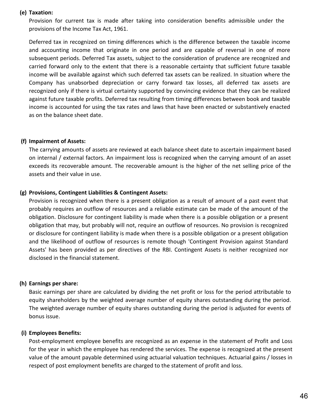## **(e) Taxation:**

Provision for current tax is made after taking into consideration benefits admissible under the provisions of the Income Tax Act, 1961.

Deferred tax in recognized on timing differences which is the difference between the taxable income and accounting income that originate in one period and are capable of reversal in one of more subsequent periods. Deferred Tax assets, subject to the consideration of prudence are recognized and carried forward only to the extent that there is a reasonable certainty that sufficient future taxable income will be available against which such deferred tax assets can be realized. In situation where the Company has unabsorbed depreciation or carry forward tax losses, all deferred tax assets are recognized only if there is virtual certainty supported by convincing evidence that they can be realized against future taxable profits. Deferred tax resulting from timing differences between book and taxable income is accounted for using the tax rates and laws that have been enacted or substantively enacted as on the balance sheet date.

# **(f) Impairment of Assets:**

The carrying amounts of assets are reviewed at each balance sheet date to ascertain impairment based on internal / external factors. An impairment loss is recognized when the carrying amount of an asset exceeds its recoverable amount. The recoverable amount is the higher of the net selling price of the assets and their value in use.

# **(g) Provisions, Contingent Liabilities & Contingent Assets:**

Provision is recognized when there is a present obligation as a result of amount of a past event that probably requires an outflow of resources and a reliable estimate can be made of the amount of the obligation. Disclosure for contingent liability is made when there is a possible obligation or a present obligation that may, but probably will not, require an outflow of resources. No provision is recognized or disclosure for contingent liability is made when there is a possible obligation or a present obligation and the likelihood of outflow of resources is remote though 'Contingent Provision against Standard Assets' has been provided as per directives of the RBI. Contingent Assets is neither recognized nor disclosed in the financial statement.

# **(h) Earnings per share:**

Basic earnings per share are calculated by dividing the net profit or loss for the period attributable to equity shareholders by the weighted average number of equity shares outstanding during the period. The weighted average number of equity shares outstanding during the period is adjusted for events of bonus issue.

# **(i) Employees Benefits:**

Post-employment employee benefits are recognized as an expense in the statement of Profit and Loss for the year in which the employee has rendered the services. The expense is recognized at the present value of the amount payable determined using actuarial valuation techniques. Actuarial gains / losses in respect of post employment benefits are charged to the statement of profit and loss.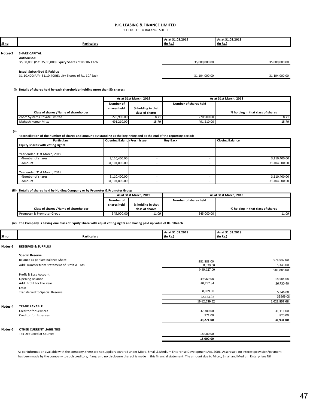#### **P.K. LEASING & FINANCE LIMITED**

SCHEDULES TO BALANCE SHEET

| SI no.  | <b>Particulars</b>                                                     | As at 31.03.2019<br>(in Rs.) | As at 31.03.2018<br>(in Rs.) |
|---------|------------------------------------------------------------------------|------------------------------|------------------------------|
| Notes-2 | <b>SHARE CAPITAL</b>                                                   |                              |                              |
|         | Authorised:<br>35,00,000 (P.Y: 35,00,000) Equity Shares of Rs 10/ Each | 35,000,000.00                | 35,000,000.00                |

**Issud, Subscribed & Paid up**

31,10,400(P.Y:- 31,10,400)Equity Shares of Rs. 10/ Each 31,104,000.00 31,104,000.00

#### **(i) Details of shares held by each shareholder holding more than 5% shares:**

|                                      | As at 31st March, 2019 |                   | As at 31st March, 2018 |                                   |
|--------------------------------------|------------------------|-------------------|------------------------|-----------------------------------|
|                                      | Number of              |                   | Number of shares held  |                                   |
|                                      | shares held            | % holding in that |                        |                                   |
| Class of shares /Name of shareholder |                        | class of shares   |                        | % holding in that class of shares |
| Zoom Systems Private Limited         | 270.900.00             | 8.71              | 270.900.00             | 8.71                              |
| Mahesh Kumar Mittal                  | 491,210.00             | 15.79             | 491,210.00             | 15.79                             |

(ii)

#### **Reconciliation of the number of shares and amount outstanding at the beginning and at the end of the reporting period:**

| <b>Particulars</b>               | <b>Opening Balance Fresh issue</b> |                          | <b>Buy Back</b> | <b>Closing Balance</b> |
|----------------------------------|------------------------------------|--------------------------|-----------------|------------------------|
| Equity shares with voting rights |                                    |                          |                 |                        |
|                                  |                                    |                          |                 |                        |
| Year ended 31st March, 2019      |                                    |                          |                 |                        |
| -Number of shares                | 3,110,400.00                       |                          |                 | 3,110,400.00           |
| -Amount                          | 31,104,000.00                      | $\overline{\phantom{a}}$ |                 | 31,104,000.00          |
|                                  |                                    |                          |                 |                        |
| Year ended 31st March, 2018      |                                    |                          |                 |                        |
| -Number of shares                | 3,110,400.00                       | $\overline{\phantom{a}}$ |                 | 3,110,400.00           |
| -Amount                          | 31,104,000.00                      | $\overline{\phantom{a}}$ |                 | 31,104,000.00          |

#### **(iii) Details of shares held by Holding Company or by Promoter & Promoter Group**

|                                      |             | As at 31st March, 2019 |                       | As at 31st March. 2018            |  |  |
|--------------------------------------|-------------|------------------------|-----------------------|-----------------------------------|--|--|
|                                      | Number of   |                        | Number of shares held |                                   |  |  |
|                                      | shares held | % holding in that      |                       |                                   |  |  |
| Class of shares /Name of shareholder |             | class of shares        |                       | % holding in that class of shares |  |  |
| Promoter & Promoter Group            | 345.000.00  | 11.09                  | 345,000.00            | 11.09                             |  |  |

**(iv) The Company is having one Class of Equity Share with equal voting rights and having paid up value of Rs. 10each**

|        |             | 3.2019 | 3.2018<br>л.<br>. |
|--------|-------------|--------|-------------------|
| Sl no. | `articular. | (in Rs | (in Rs.           |
|        |             |        |                   |

#### **Notes-3 RESERVES & SURPLUS**

|         | <b>Special Reserve</b>                        |              |              |
|---------|-----------------------------------------------|--------------|--------------|
|         | Balance as per last Balance Sheet             | 981,888.00   | 976,542.00   |
|         | Add: Transfer from Statement of Profit & Loss | 8,039.00     | 5,346.00     |
|         |                                               | 9,89,927.00  | 981,888.00   |
|         | Profit & Loss Account                         |              |              |
|         | Opening Balance                               | 39,969.08    | 18,584.68    |
|         | Add: Profit for the Year                      | 40,192.94    | 26,730.40    |
|         | Less:                                         |              |              |
|         | Transferred to Special Reserve                | 8,039.00     | 5,346.00     |
|         |                                               | 72,123.02    | 39969.08     |
|         |                                               | 10,62,050.02 | 1,021,857.08 |
| Notes-4 | <b>TRADE PAYABLE</b>                          |              |              |
|         | <b>Creditor for Services</b>                  | 37,300.00    | 31,111.00    |
|         | <b>Creditor for Expenses</b>                  | 971.00       | 820.00       |
|         |                                               | 38,271.00    | 31,931.00    |
|         |                                               |              |              |
| Notes-5 | OTHER CURRENT LIABILITIES                     |              |              |
|         | Tax Deducted at Sources                       | 18,000.00    |              |
|         |                                               | 18,000.00    |              |

As perinformation available with the company, there are no suppliers covered under Micro, Small & Medium Enterprise Development Act, 2006. As a result, no interest provision/payment has been made by the company to such creditors, if any, and no disclosure thereof is made in this financial statement. The amount due to Micro, Small and Medium Enterprises Nil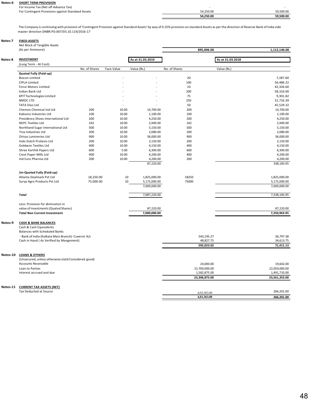#### **Notes-6 SHORT TERM PROVISION**

| For Income Tax (Net off Advance Tax)              |           |           |
|---------------------------------------------------|-----------|-----------|
| For Contingent Provisions against Standaed Assets | 54.250.00 | 59.500.00 |
|                                                   | 54.250.00 | 59.500.00 |

The Company is continuing with provision of 'Contingent Provision against Standard Assets' by way of 0.25% provision on standard Assets as per the direction of Reserve Bank of India vide master direction DNBR.PD.007/03.10.119/2016-17

#### **Notes-7 FIXED ASSETS**

Net Block of Tangible Assets

|          | (As per Annexure)                                         |               |            |                  | 895,006.00    |                  | 1,112,146.00  |
|----------|-----------------------------------------------------------|---------------|------------|------------------|---------------|------------------|---------------|
|          |                                                           |               |            |                  |               |                  |               |
| Notes-8  | <b>INVESTMENT</b>                                         |               |            | As at 31.03.2019 |               | As at 31.03.2018 |               |
|          | (Long Term - At Cost):                                    |               |            |                  |               |                  |               |
|          | Quated Fully (Paid-up)                                    | No. of Shares | Face Value | Value (Rs.)      | No. of Shares | Value (Rs.)      |               |
|          | <b>Biocon Limited</b>                                     |               |            |                  | 20            |                  | 7,287.60      |
|          | CIPLA Limited                                             |               |            |                  | 100           |                  | 56,486.22     |
|          | Force Motors Limited                                      |               |            |                  | 10            |                  | 42,326.60     |
|          | Indian Bank Ltd                                           |               |            |                  | 200           |                  | 58,316.00     |
|          | KPIT Technologies Limited                                 |               |            |                  | 75            |                  | 9,301.82      |
|          | NMDC LTD                                                  |               |            |                  | 250           |                  | 31,716.39     |
|          | <b>TATA Elxsi Ltd</b>                                     |               |            |                  | 50            |                  | 45,529.32     |
|          | Chemox Chemical ind Ltd                                   | 200           | 10.00      | 14,700.00        | 200           |                  | 14,700.00     |
|          | Kabsons Industries Ltd                                    | 100           | 10.00      | 1,100.00         | 100           |                  | 1,100.00      |
|          | Presidency Shoes International Ltd                        | 200           | 10.00      | 4,250.00         | 200           |                  | 4,250.00      |
|          | <b>NEPC Textiles Ltd</b>                                  | 242           | 10.00      | 2,940.00         | 242           |                  | 2,940.00      |
|          | Northland Sugar International Ltd                         | 500           | 10.00      | 5,150.00         | 500           |                  | 5,150.00      |
|          | Tina Industries Ltd                                       | 200           | 10.00      | 2,080.00         | 200           |                  | 2,080.00      |
|          | Orissa Lumineries Ltd                                     | 900           | 10.00      | 36,000.00        | 900           |                  | 36,000.00     |
|          | Indo Dutch Proteins Ltd                                   | 200           | 10.00      | 2,150.00         | 200           |                  | 2,150.00      |
|          | Goldwon Textiles Ltd                                      | 400           | 10.00      | 4,150.00         | 400           |                  | 4,150.00      |
|          | Shree Karthik Papers Ltd                                  | 600           | 5.00       | 6,300.00         | 600           |                  | 6,300.00      |
|          | Crest Paper Mills Ltd                                     | 400           | 10.00      | 4,200.00         | 400           |                  | 4,200.00      |
|          | Ind Euro Pharma Ltd                                       | 200           | 10.00      | 4,200.00         | 200           |                  | 4,200.00      |
|          |                                                           |               |            | 87,220.00        |               |                  | 338,183.95    |
|          |                                                           |               |            |                  |               |                  |               |
|          | Un-Quoted Fully (Paid-up)                                 |               |            |                  |               |                  |               |
|          | Atlanta Dealmark Pvt Ltd                                  | 18,250.00     | 10         | 1,825,000.00     | 18250         |                  | 1,825,000.00  |
|          | Surya Agro Products Pvt Ltd                               | 75,000.00     | 10         | 5,175,000.00     | 75000         |                  | 5,175,000.00  |
|          |                                                           |               |            | 7,000,000.00     |               |                  | 7,000,000.00  |
|          | <b>Total</b>                                              |               |            | 7,087,220.00     |               |                  | 7,338,183.95  |
|          |                                                           |               |            |                  |               |                  |               |
|          | Less: Provision for diminution in                         |               |            |                  |               |                  |               |
|          | value of investments (Quated Shares)                      |               |            | 87,220.00        |               |                  | 87,220.00     |
|          | <b>Total Non Current Investment</b>                       |               |            | 7,000,000.00     |               |                  | 7,250,963.95  |
|          |                                                           |               |            |                  |               |                  |               |
| Notes-9  | <b>CASH &amp; BANK BALANCES</b>                           |               |            |                  |               |                  |               |
|          | Cash & Cash Equivalents                                   |               |            |                  |               |                  |               |
|          | <b>Balances with Scheduled Banks</b>                      |               |            |                  |               |                  |               |
|          | - Bank of India (Kolkata Main Branch)- Cueernt A/c        |               |            |                  | 543,195.27    |                  | 36,797.38     |
|          | Cash in Hand (As Verified by Mangement)                   |               |            |                  | 48,827.75     |                  | 34,613.75     |
|          |                                                           |               |            |                  | 592,023.02    |                  | 71,411.13     |
|          |                                                           |               |            |                  |               |                  |               |
| Notes-10 | <b>LOANS &amp; OTHERS</b>                                 |               |            |                  |               |                  |               |
|          | (Unsecured, unless otherwise statd Considered good)       |               |            |                  |               |                  |               |
|          | <b>Accounts Receivable</b>                                |               |            |                  | 24,000.00     |                  | 19,642.00     |
|          | Loan to Parties                                           |               |            |                  | 21,700,000.00 |                  | 22,050,000.00 |
|          | Interest accrued and due                                  |               |            |                  | 1,582,875.00  |                  | 1,491,710.00  |
|          |                                                           |               |            |                  | 23,306,875.00 |                  | 23,561,352.00 |
|          |                                                           |               |            |                  |               |                  |               |
| Notes-11 | <b>CURRENT TAX ASSETS (NET)</b><br>Tax Deducted at Source |               |            |                  |               |                  | 266,201.00    |
|          |                                                           |               |            |                  | 4,03,363.00   |                  |               |
|          |                                                           |               |            |                  | 4,03,363.00   |                  | 266,201.00    |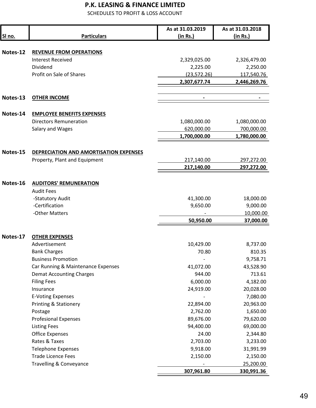# **P.K. LEASING & FINANCE LIMITED**

SCHEDULES TO PROFIT & LOSS ACCOUNT

| Sl no.   | <b>Particulars</b>                     | As at 31.03.2019<br>(in Rs.) | As at 31.03.2018<br>(in Rs.) |
|----------|----------------------------------------|------------------------------|------------------------------|
|          |                                        |                              |                              |
| Notes-12 | <b>REVENUE FROM OPERATIONS</b>         |                              |                              |
|          | <b>Interest Received</b>               | 2,329,025.00                 | 2,326,479.00                 |
|          | Dividend                               | 2,225.00                     | 2,250.00                     |
|          | Profit on Sale of Shares               | (23, 572.26)                 | 117,540.76                   |
|          |                                        | 2,307,677.74                 | 2,446,269.76                 |
| Notes-13 | <b>OTHER INCOME</b>                    |                              |                              |
|          |                                        |                              |                              |
| Notes-14 | <b>EMPLOYEE BENEFITS EXPENSES</b>      |                              |                              |
|          | <b>Directors Remuneration</b>          | 1,080,000.00                 | 1,080,000.00                 |
|          | Salary and Wages                       | 620,000.00                   | 700,000.00                   |
|          |                                        | 1,700,000.00                 | 1,780,000.00                 |
| Notes-15 | DEPRECIATION AND AMORTISATION EXPENSES |                              |                              |
|          | Property, Plant and Equipment          | 217,140.00                   | 297,272.00                   |
|          |                                        | 217,140.00                   | 297,272.00                   |
|          |                                        |                              |                              |
| Notes-16 | <b>AUDITORS' REMUNERATION</b>          |                              |                              |
|          | <b>Audit Fees</b>                      |                              |                              |
|          | -Statutory Audit                       | 41,300.00                    | 18,000.00                    |
|          | -Certification                         | 9,650.00                     | 9,000.00                     |
|          | -Other Matters                         |                              | 10,000.00                    |
|          |                                        | 50,950.00                    | 37,000.00                    |
| Notes-17 | <b>OTHER EXPENSES</b>                  |                              |                              |
|          | Advertisement                          | 10,429.00                    | 8,737.00                     |
|          | <b>Bank Charges</b>                    | 70.80                        | 810.35                       |
|          | <b>Business Promotion</b>              |                              | 9,758.71                     |
|          | Car Running & Maintenance Expenses     | 41,072.00                    | 43,528.90                    |
|          | <b>Demat Accounting Charges</b>        | 944.00                       | 713.61                       |
|          | <b>Filing Fees</b>                     | 6,000.00                     | 4,182.00                     |
|          | Insurance                              | 24,919.00                    | 20,028.00                    |
|          | <b>E-Voting Expenses</b>               |                              | 7,080.00                     |
|          | <b>Printing &amp; Stationery</b>       | 22,894.00                    | 20,963.00                    |
|          | Postage                                | 2,762.00                     | 1,650.00                     |
|          | <b>Profesional Expenses</b>            | 89,676.00                    | 79,620.00                    |
|          | <b>Listing Fees</b>                    | 94,400.00                    | 69,000.00                    |
|          | <b>Office Expenses</b>                 | 24.00                        | 2,344.80                     |
|          | Rates & Taxes                          | 2,703.00                     | 3,233.00                     |
|          | <b>Telephone Expenses</b>              | 9,918.00                     | 31,991.99                    |
|          | <b>Trade Licence Fees</b>              | 2,150.00                     | 2,150.00                     |
|          | Travelling & Conveyance                |                              | 25,200.00                    |
|          |                                        | 307,961.80                   | 330,991.36                   |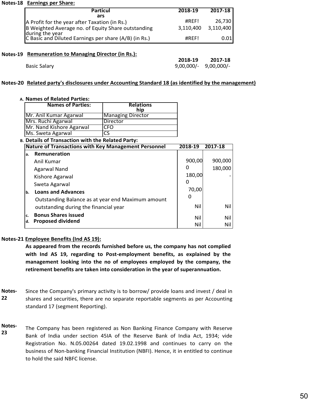#### **Notes-18 Earnings per Share:**

Basic Salary

| <b>Particul</b>                                                                                            | 2018-19            | 2017-18             |
|------------------------------------------------------------------------------------------------------------|--------------------|---------------------|
| ars<br>A Profit for the year after Taxation (in Rs.)<br>B Weighted Average no. of Equity Share outstanding | #REF!<br>3,110,400 | 26.730<br>3,110,400 |
| during the year<br>C Basic and Diluted Earnings per share (A/B) (in Rs.)                                   | #RFF!              | 0.01                |

#### **Notes-19 Remuneration to Managing Director (in Rs.):**

| 2018-19      | 2017-18      |
|--------------|--------------|
| $9,00,000/-$ | $9,00,000/-$ |

#### **Notes-20 Related party's disclosures under Accounting Standard 18 (as identified by the management)**

#### **A. Names of Related Parties:**

| <b>Names of Parties:</b>                            | <b>Relations</b><br>hip  |  |  |  |
|-----------------------------------------------------|--------------------------|--|--|--|
| Mr. Anil Kumar Agarwal                              | <b>Managing Director</b> |  |  |  |
| Mrs. Ruchi Agarwal                                  | Director                 |  |  |  |
| Mr. Nand Kishore Agarwal                            | <b>CEO</b>               |  |  |  |
| Ms. Sweta Agarwal                                   | CS                       |  |  |  |
| Batalla of Toppers at an initia the Balatash Banton |                          |  |  |  |

| B. Details of Transaction with the Related Party: |                                                             |         |         |  |  |  |
|---------------------------------------------------|-------------------------------------------------------------|---------|---------|--|--|--|
|                                                   | <b>Nature of Transactions with Key Management Personnel</b> | 2018-19 | 2017-18 |  |  |  |
| a.                                                | <b>Remuneration</b>                                         |         |         |  |  |  |
|                                                   | Anil Kumar                                                  | 900,00  | 900,000 |  |  |  |
|                                                   | Agarwal Nand                                                | 0       | 180,000 |  |  |  |
|                                                   | Kishore Agarwal                                             | 180,00  |         |  |  |  |
|                                                   | Sweta Agarwal                                               | 0       |         |  |  |  |
| b.                                                | <b>Loans and Advances</b>                                   | 70,00   |         |  |  |  |
|                                                   | Outstanding Balance as at year end Maximum amount           | 0       |         |  |  |  |
|                                                   | outstanding during the financial year                       | Nil     | Nil     |  |  |  |
| c.                                                | <b>Bonus Shares issued</b>                                  | Nil     | Nil     |  |  |  |
| d.                                                | <b>Proposed dividend</b>                                    | Nil     | Nil     |  |  |  |
|                                                   |                                                             |         |         |  |  |  |

#### **Notes-21 Employee Benefits (Ind AS 19):**

**As appeared from the records furnished before us, the company has not complied with Ind AS 19, regarding to Post-employment benefits, as explained by the management looking into the no of employees employed by the company, the retirement benefits are taken into consideration in the year of superannuation.**

- **Notes-22** Since the Company's primary activity is to borrow/ provide loans and invest / deal in shares and securities, there are no separate reportable segments as per Accounting standard 17 (segment Reporting).
- **Notes-23** The Company has been registered as Non Banking Finance Company with Reserve Bank of India under section 45IA of the Reserve Bank of India Act, 1934; vide Registration No. N.05.00264 dated 19.02.1998 and continues to carry on the business of Non-banking Financial Institution (NBFI). Hence, it in entitled to continue to hold the said NBFC license.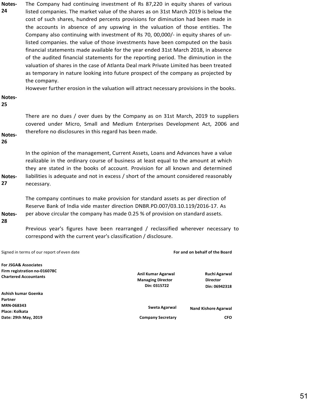| Notes- | The Company had continuing investment of Rs 87,220 in equity shares of various        |
|--------|---------------------------------------------------------------------------------------|
| 24     | listed companies. The market value of the shares as on 31st March 2019 is below the   |
|        | cost of such shares, hundred percents provisions for diminution had been made in      |
|        | the accounts in absence of any upswing in the valuation of those entities. The        |
|        | Company also continuing with investment of Rs 70, 00,000/- in equity shares of un-    |
|        | listed companies. the value of those investments have been computed on the basis      |
|        | financial statements made available for the year ended 31st March 2018, in absence    |
|        | of the audited financial statements for the reporting period. The diminution in the   |
|        | valuation of shares in the case of Atlanta Deal mark Private Limited has been treated |
|        | as temporary in nature looking into future prospect of the company as projected by    |
|        | the company.                                                                          |

However further erosion in the valuation will attract necessary provisions in the books.

#### **Notes-**

**25**

There are no dues / over dues by the Company as on 31st March, 2019 to suppliers covered under Micro, Small and Medium Enterprises Development Act, 2006 and therefore no disclosures in this regard has been made.

#### **Notes-26**

**Notes-**In the opinion of the management, Current Assets, Loans and Advances have a value realizable in the ordinary course of business at least equal to the amount at which they are stated in the books of account. Provision for all known and determined liabilities is adequate and not in excess / short of the amount considered reasonably necessary.

**Notes-**The company continues to make provision for standard assets as per direction of Reserve Bank of India vide master direction DNBR.PD.007/03.10.119/2016-17. As per above circular the company has made 0.25 % of provision on standard assets.

#### **28**

**27**

Previous year's figures have been rearranged / reclassified wherever necessary to correspond with the current year's classification / disclosure.

| Signed in terms of our report of even date                                                      |                                                                | For and on behalf of the Board                    |
|-------------------------------------------------------------------------------------------------|----------------------------------------------------------------|---------------------------------------------------|
| <b>For JSGA&amp; Associates</b><br>Firm registration no-016078C<br><b>Chartered Accountants</b> | Anil Kumar Agarwal<br><b>Managing Director</b><br>Din: 0315722 | Ruchi Agarwal<br><b>Director</b><br>Din: 06942318 |
| Ashish kumar Goenka                                                                             |                                                                |                                                   |
| Partner                                                                                         |                                                                |                                                   |
| MRN-068343                                                                                      | Sweta Agarwal                                                  | <b>Nand Kishore Agarwal</b>                       |
| Place: Kolkata                                                                                  |                                                                |                                                   |
| Date: 29th May, 2019                                                                            | <b>Company Secretary</b>                                       | <b>CFO</b>                                        |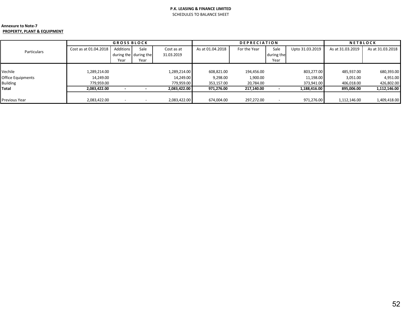#### **P.K. LEASING & FINANCE LIMITED** SCHEDULES TO BALANCE SHEET

#### **Annexure to Note-7 PROPERTY, PLANT & EQUIPMENT**

|                   |                       | <b>GROSS BLOCK</b>       |      |              | <b>DEPRECIATION</b> |              |            | <b>NETBLOCK</b> |                  |                  |
|-------------------|-----------------------|--------------------------|------|--------------|---------------------|--------------|------------|-----------------|------------------|------------------|
|                   | Cost as at 01.04.2018 | Additions                | Sale | Cost as at   | As at 01.04.2018    | For the Year | Sale       | Upto 31.03.2019 | As at 31.03.2019 | As at 31.03.2018 |
| Particulars       |                       | during the during the    |      | 31.03.2019   |                     |              | during the |                 |                  |                  |
|                   |                       | Year                     | Year |              |                     |              | Year       |                 |                  |                  |
|                   |                       |                          |      |              |                     |              |            |                 |                  |                  |
| Vechile           | 1,289,214.00          |                          |      | 1,289,214.00 | 608,821.00          | 194,456.00   |            | 803,277.00      | 485,937.00       | 680,393.00       |
| Office Equipments | 14.249.00             |                          |      | 14,249.00    | 9,298.00            | 1,900.00     |            | 11,198.00       | 3,051.00         | 4,951.00         |
| <b>Building</b>   | 779,959.00            |                          |      | 779,959.00   | 353,157.00          | 20,784.00    |            | 373,941.00      | 406,018.00       | 426,802.00       |
| <b>Total</b>      | 2,083,422.00          |                          |      | 2,083,422.00 | 971.276.00          | 217,140.00   |            | 1,188,416.00    | 895,006.00       | 1,112,146.00     |
|                   |                       |                          |      |              |                     |              |            |                 |                  |                  |
| Previous Year     | 2,083,422.00          | $\overline{\phantom{a}}$ |      | 2,083,422.00 | 674,004.00          | 297,272.00   |            | 971,276.00      | 1,112,146.00     | 1,409,418.00     |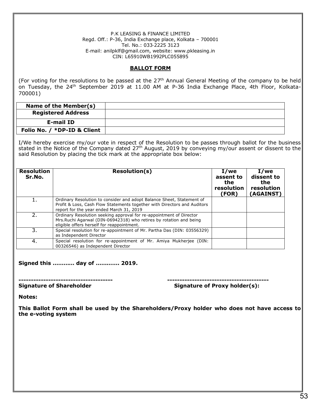#### P.K LEASING & FINANCE LIMITED Regd. Off.: P-36, India Exchange place, Kolkata – 700001 Tel. No.: 033‐2225 3123 E‐mail: anilpklf@gmail.com, website: www.pkleasing.in CIN: L65910WB1992PLC055895

#### **BALLOT FORM**

(For voting for the resolutions to be passed at the  $27<sup>th</sup>$  Annual General Meeting of the company to be held on Tuesday, the 24<sup>th</sup> September 2019 at 11.00 AM at P-36 India Exchange Place, 4th Floor, Kolkata-700001)

| Name of the Member(s)       |  |
|-----------------------------|--|
| <b>Registered Address</b>   |  |
| <b>E-mail ID</b>            |  |
| Folio No. / *DP-ID & Client |  |

I/We hereby exercise my/our vote in respect of the Resolution to be passes through ballot for the business stated in the Notice of the Company dated 27<sup>th</sup> August, 2019 by conveying my/our assent or dissent to the said Resolution by placing the tick mark at the appropriate box below:

| <b>Resolution</b><br>Sr.No. | <b>Resolution(s)</b>                                                                                                                                                                          | I/we<br>assent to<br>the<br>resolution<br>(FOR) | I/we<br>dissent to<br>the<br>resolution<br>(AGAINST) |
|-----------------------------|-----------------------------------------------------------------------------------------------------------------------------------------------------------------------------------------------|-------------------------------------------------|------------------------------------------------------|
|                             | Ordinary Resolution to consider and adopt Balance Sheet, Statement of<br>Profit & Loss, Cash Flow Statements together with Directors and Auditors<br>report for the year ended March 31, 2019 |                                                 |                                                      |
| 2.                          | Ordinary Resolution seeking approval for re-appointment of Director<br>Mrs. Ruchi Agarwal (DIN-06942318) who retires by rotation and being<br>eligible offers herself for reappointment.      |                                                 |                                                      |
| 3.                          | Special resolution for re-appointment of Mr. Partha Das (DIN: 03556329)<br>as Independent Director                                                                                            |                                                 |                                                      |
| 4.                          | Special resolution for re-appointment of Mr. Amiya Mukherjee (DIN:<br>00326546) as Independent Director                                                                                       |                                                 |                                                      |

**Signed this ………… day of …………. 2019.**

**-------------------------------------- -----------------------------------------**

Signature of Shareholder **Signature of Proxy holder(s)**:

**Notes:**

**This Ballot Form shall be used by the Shareholders/Proxy holder who does not have access to the e-voting system**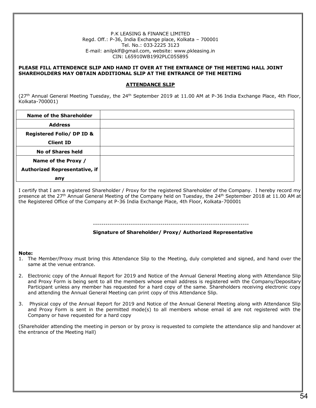#### P.K LEASING & FINANCE LIMITED Regd. Off.: P-36, India Exchange place, Kolkata – 700001 Tel. No.: 033‐2225 3123 E‐mail: anilpklf@gmail.com, website: www.pkleasing.in CIN: L65910WB1992PLC055895

#### **PLEASE FILL ATTENDENCE SLIP AND HAND IT OVER AT THE ENTRANCE OF THE MEETING HALL JOINT SHAREHOLDERS MAY OBTAIN ADDITIONAL SLIP AT THE ENTRANCE OF THE MEETING**

#### **ATTENDANCE SLIP**

(27<sup>th</sup> Annual General Meeting Tuesday, the 24<sup>th</sup> September 2019 at 11.00 AM at P-36 India Exchange Place, 4th Floor, Kolkata-700001)

| <b>Name of the Shareholder</b>       |  |
|--------------------------------------|--|
| <b>Address</b>                       |  |
| <b>Registered Folio/ DP ID &amp;</b> |  |
| <b>Client ID</b>                     |  |
| <b>No of Shares held</b>             |  |
| Name of the Proxy /                  |  |
| <b>Authorized Representative, if</b> |  |
| any                                  |  |

I certify that I am a registered Shareholder / Proxy for the registered Shareholder of the Company. I hereby record my presence at the 27<sup>th</sup> Annual General Meeting of the Company held on Tuesday, the 24<sup>th</sup> September 2018 at 11.00 AM at the Registered Office of the Company at P-36 India Exchange Place, 4th Floor, Kolkata-700001

#### --------------------------------------------------------------------------

#### **Signature of Shareholder/ Proxy/ Authorized Representative**

#### **Note:**

- 1. The Member/Proxy must bring this Attendance Slip to the Meeting, duly completed and signed, and hand over the same at the venue entrance.
- 2. Electronic copy of the Annual Report for 2019 and Notice of the Annual General Meeting along with Attendance Slip and Proxy Form is being sent to all the members whose email address is registered with the Company/Depositary Participant unless any member has requested for a hard copy of the same. Shareholders receiving electronic copy and attending the Annual General Meeting can print copy of this Attendance Slip.
- 3. Physical copy of the Annual Report for 2019 and Notice of the Annual General Meeting along with Attendance Slip and Proxy Form is sent in the permitted mode(s) to all members whose email id are not registered with the Company or have requested for a hard copy

(Shareholder attending the meeting in person or by proxy is requested to complete the attendance slip and handover at the entrance of the Meeting Hall)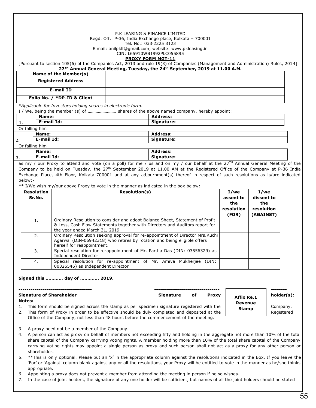#### P.K LEASING & FINANCE LIMITED

Regd. Off.: P-36, India Exchange place, Kolkata – 700001

Tel. No.: 033‐2225 3123

E‐mail: anilpklf@gmail.com, website: www.pkleasing.in CIN: L65910WB1992PLC055895

#### **PROXY FORM MGT-11**

[Pursuant to section 105(6) of the Companies Act, 2013 and rule 19(3) of Companies (Management and Administration) Rules, 2014]

**27TH Annual General Meeting, Tuesday, the 24th September, 2019 at 11.00 A.M.**

| Name of the Member(s) |                                                              |                                                                                                                                          |  |
|-----------------------|--------------------------------------------------------------|------------------------------------------------------------------------------------------------------------------------------------------|--|
|                       | <b>Registered Address</b>                                    |                                                                                                                                          |  |
|                       | <b>E-mail ID</b>                                             |                                                                                                                                          |  |
|                       | Folio No. / *DP-ID & Client                                  |                                                                                                                                          |  |
|                       | *Applicable for Investors holding shares in electronic form. |                                                                                                                                          |  |
|                       |                                                              | I / We, being the member (s) of  shares of the above named company, hereby appoint:                                                      |  |
|                       | Name:                                                        | <b>Address:</b>                                                                                                                          |  |
|                       | E-mail Id:                                                   | Signature:                                                                                                                               |  |
| Or falling him        |                                                              |                                                                                                                                          |  |
|                       | Name:                                                        | <b>Address:</b>                                                                                                                          |  |
| 2.                    | E-mail Id:                                                   | Signature:                                                                                                                               |  |
| Or falling him        |                                                              |                                                                                                                                          |  |
|                       | Name:                                                        | <b>Address:</b>                                                                                                                          |  |
| 3.                    | E-mail Id:                                                   | Signature:                                                                                                                               |  |
|                       |                                                              | as my / our Proxy to attend and vote (on a poll) for me / us and on my / our behalf at the 27 <sup>™</sup> Annual General Meeting of the |  |

Company to be held on Tuesday, the 27<sup>th</sup> September 2019 at 11.00 AM at the Registered Office of the Company at P-36 India Exchange Place, 4th Floor, Kolkata-700001 and at any adjournment(s) thereof in respect of such resolutions as is/are indicated below:-

\*\* I/We wish my/our above Proxy to vote in the manner as indicated in the box below:-

| <b>Resolution</b><br>Sr.No. | <b>Resolution(s)</b>                                                                                                                                                                          | I/we<br>assent to<br>the<br>resolution<br>(FOR) | I/we<br>dissent to<br>the<br>resolution<br>(AGAINST) |
|-----------------------------|-----------------------------------------------------------------------------------------------------------------------------------------------------------------------------------------------|-------------------------------------------------|------------------------------------------------------|
| 1.                          | Ordinary Resolution to consider and adopt Balance Sheet, Statement of Profit<br>& Loss, Cash Flow Statements together with Directors and Auditors report for<br>the year ended March 31, 2019 |                                                 |                                                      |
| 2.5                         | Ordinary Resolution seeking approval for re-appointment of Director Mrs. Ruchi<br>Agarwal (DIN-06942318) who retires by rotation and being eligible offers<br>herself for reappointment.      |                                                 |                                                      |
| 3.                          | Special resolution for re-appointment of Mr. Partha Das (DIN: 03556329) as<br>Independent Director                                                                                            |                                                 |                                                      |
| 4.                          | Special resolution for re-appointment of Mr. Amiya Mukherjee<br>(DIN:<br>00326546) as Independent Director                                                                                    |                                                 |                                                      |

#### **Signed this ………… day of …………. 2019.**

#### **------------------------------------- --------------------------------- --------** Signature of Shareholder **Signature of Proxy and Signature** of Proxy **Signature** of Proxy **Signature** of  $\frac{1}{2}$  holder(s): **Notes:** 1. This form should be signed across the stamp as per specimen signature registered with the  $\sim$ 2. This form of Proxy in order to be effective should be duly completed and deposited at the  $\vert$   $\vert$   $\vert$  Registered Office of the Company, not less than 48 hours before the commencement of the meeting.

**Affix Re.1 Revenue Stamp**

- 3. A proxy need not be a member of the Company.
- 4. A person can act as proxy on behalf of members not exceeding fifty and holding in the aggregate not more than 10% of the total share capital of the Company carrying voting rights. A member holding more than 10% of the total share capital of the Company carrying voting rights may appoint a single person as proxy and such person shall not act as a proxy for any other person or shareholder.
- 5. \*\*This is only optional. Please put an 'x' in the appropriate column against the resolutions indicated in the Box. If you leave the 'For' or 'Against' column blank against any or all the resolutions, your Proxy will be entitled to vote in the manner as he/she thinks appropriate.
- 6. Appointing a proxy does not prevent a member from attending the meeting in person if he so wishes.
- 7. In the case of joint holders, the signature of any one holder will be sufficient, but names of all the joint holders should be stated